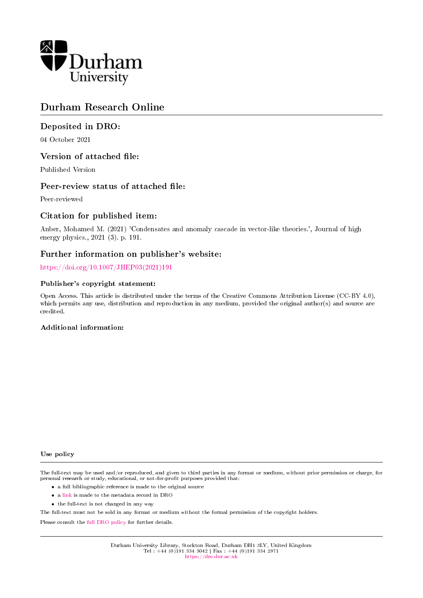

# Durham Research Online

### Deposited in DRO:

04 October 2021

### Version of attached file:

Published Version

### Peer-review status of attached file:

Peer-reviewed

### Citation for published item:

Anber, Mohamed M. (2021) 'Condensates and anomaly cascade in vector-like theories.', Journal of high energy physics., 2021 (3). p. 191.

### Further information on publisher's website:

[https://doi.org/10.1007/JHEP03\(2021\)191](https://doi.org/10.1007/JHEP03(2021)191)

#### Publisher's copyright statement:

Open Access. This article is distributed under the terms of the Creative Commons Attribution License (CC-BY 4.0), which permits any use, distribution and reproduction in any medium, provided the original author(s) and source are credited.

### Additional information:

#### Use policy

The full-text may be used and/or reproduced, and given to third parties in any format or medium, without prior permission or charge, for personal research or study, educational, or not-for-profit purposes provided that:

- a full bibliographic reference is made to the original source
- a [link](http://dro.dur.ac.uk/34026/) is made to the metadata record in DRO
- the full-text is not changed in any way

The full-text must not be sold in any format or medium without the formal permission of the copyright holders.

Please consult the [full DRO policy](https://dro.dur.ac.uk/policies/usepolicy.pdf) for further details.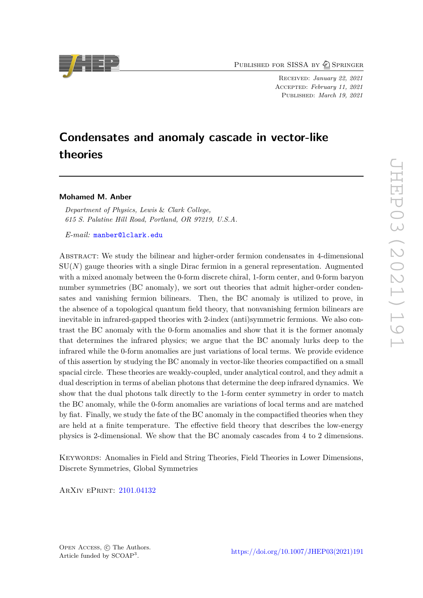PUBLISHED FOR SISSA BY 2 SPRINGER

Received: *January 22, 2021* Accepted: *February 11, 2021* Published: *March 19, 2021*

# **Condensates and anomaly cascade in vector-like theories**

#### **Mohamed M. Anber**

*Department of Physics, Lewis* & *Clark College, 615 S. Palatine Hill Road, Portland, OR 97219, U.S.A.*

*E-mail:* [manber@lclark.edu](mailto:manber@lclark.edu)

Abstract: We study the bilinear and higher-order fermion condensates in 4-dimensional SU(*N*) gauge theories with a single Dirac fermion in a general representation. Augmented with a mixed anomaly between the 0-form discrete chiral, 1-form center, and 0-form baryon number symmetries (BC anomaly), we sort out theories that admit higher-order condensates and vanishing fermion bilinears. Then, the BC anomaly is utilized to prove, in the absence of a topological quantum field theory, that nonvanishing fermion bilinears are inevitable in infrared-gapped theories with 2-index (anti)symmetric fermions. We also contrast the BC anomaly with the 0-form anomalies and show that it is the former anomaly that determines the infrared physics; we argue that the BC anomaly lurks deep to the infrared while the 0-form anomalies are just variations of local terms. We provide evidence of this assertion by studying the BC anomaly in vector-like theories compactified on a small spacial circle. These theories are weakly-coupled, under analytical control, and they admit a dual description in terms of abelian photons that determine the deep infrared dynamics. We show that the dual photons talk directly to the 1-form center symmetry in order to match the BC anomaly, while the 0-form anomalies are variations of local terms and are matched by fiat. Finally, we study the fate of the BC anomaly in the compactified theories when they are held at a finite temperature. The effective field theory that describes the low-energy physics is 2-dimensional. We show that the BC anomaly cascades from 4 to 2 dimensions.

Keywords: Anomalies in Field and String Theories, Field Theories in Lower Dimensions, Discrete Symmetries, Global Symmetries

ArXiv ePrint: [2101.04132](https://arxiv.org/abs/2101.04132)

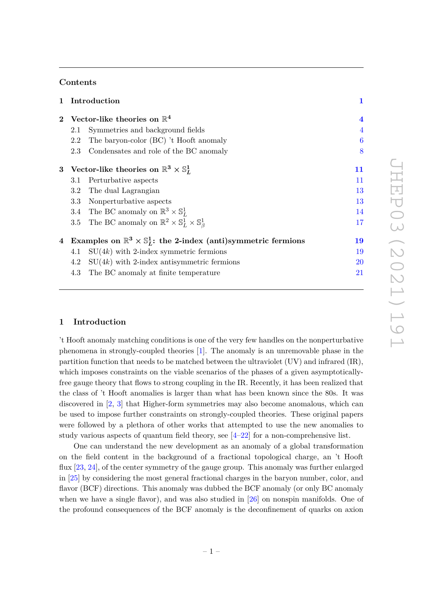### **Contents**

| $\mathbf{1}$   |                                                                                       | Introduction                                                                           | $\mathbf{1}$     |  |  |
|----------------|---------------------------------------------------------------------------------------|----------------------------------------------------------------------------------------|------------------|--|--|
| $\mathbf{2}$   | Vector-like theories on $\mathbb{R}^4$                                                |                                                                                        |                  |  |  |
|                | 2.1                                                                                   | Symmetries and background fields                                                       |                  |  |  |
|                | 2.2                                                                                   | The baryon-color (BC) 't Hooft anomaly                                                 | $\boldsymbol{6}$ |  |  |
|                | 2.3                                                                                   | Condensates and role of the BC anomaly                                                 | 8                |  |  |
|                | 3 Vector-like theories on $\mathbb{R}^3 \times \mathbb{S}^1_L$                        |                                                                                        |                  |  |  |
|                | 3.1                                                                                   | Perturbative aspects                                                                   | 11               |  |  |
|                | 3.2                                                                                   | The dual Lagrangian                                                                    | 13               |  |  |
|                | 3.3                                                                                   | Nonperturbative aspects                                                                | 13               |  |  |
|                |                                                                                       | 3.4 The BC anomaly on $\mathbb{R}^3 \times \mathbb{S}^1_L$                             | 14               |  |  |
|                |                                                                                       | 3.5 The BC anomaly on $\mathbb{R}^2 \times \mathbb{S}^1_L \times \mathbb{S}^1_{\beta}$ | 17               |  |  |
| $\overline{4}$ | Examples on $\mathbb{R}^3 \times \mathbb{S}^1$ : the 2-index (anti)symmetric fermions |                                                                                        |                  |  |  |
|                | 4.1                                                                                   | $SU(4k)$ with 2-index symmetric fermions                                               | 19               |  |  |
|                | 4.2                                                                                   | $SU(4k)$ with 2-index antisymmetric fermions                                           | 20               |  |  |
|                | 4.3                                                                                   | The BC anomaly at finite temperature                                                   | 21               |  |  |

### <span id="page-2-0"></span>**1 Introduction**

't Hooft anomaly matching conditions is one of the very few handles on the nonperturbative phenomena in strongly-coupled theories [\[1\]](#page-26-0). The anomaly is an unremovable phase in the partition function that needs to be matched between the ultraviolet (UV) and infrared (IR), which imposes constraints on the viable scenarios of the phases of a given asymptoticallyfree gauge theory that flows to strong coupling in the IR. Recently, it has been realized that the class of 't Hooft anomalies is larger than what has been known since the 80s. It was discovered in [\[2,](#page-26-1) [3\]](#page-26-2) that Higher-form symmetries may also become anomalous, which can be used to impose further constraints on strongly-coupled theories. These original papers were followed by a plethora of other works that attempted to use the new anomalies to study various aspects of quantum field theory, see  $[4-22]$  $[4-22]$  for a non-comprehensive list.

One can understand the new development as an anomaly of a global transformation on the field content in the background of a fractional topological charge, an 't Hooft flux [\[23,](#page-27-1) [24\]](#page-27-2), of the center symmetry of the gauge group. This anomaly was further enlarged in [\[25\]](#page-27-3) by considering the most general fractional charges in the baryon number, color, and flavor (BCF) directions. This anomaly was dubbed the BCF anomaly (or only BC anomaly when we have a single flavor), and was also studied in [\[26\]](#page-27-4) on nonspin manifolds. One of the profound consequences of the BCF anomaly is the deconfinement of quarks on axion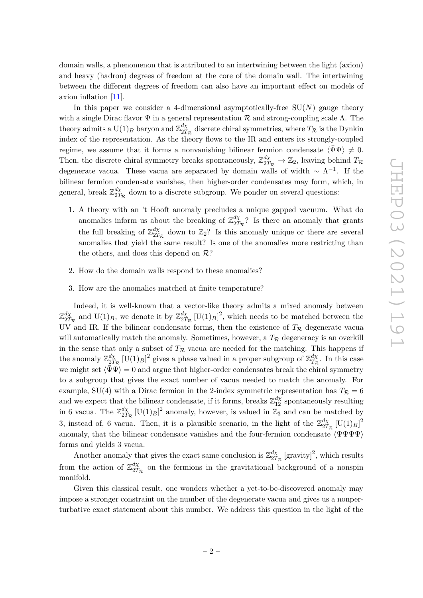domain walls, a phenomenon that is attributed to an intertwining between the light (axion) and heavy (hadron) degrees of freedom at the core of the domain wall. The intertwining between the different degrees of freedom can also have an important effect on models of axion inflation [\[11\]](#page-27-5).

In this paper we consider a 4-dimensional asymptotically-free  $SU(N)$  gauge theory with a single Dirac flavor  $\Psi$  in a general representation R and strong-coupling scale  $\Lambda$ . The theory admits a  $\mathop{\rm U}(1)_B$  baryon and  $\mathbb{Z}_{2T}^{d\chi}$  $\frac{d\chi}{2T_{\mathcal{R}}}$  discrete chiral symmetries, where  $T_{\mathcal{R}}$  is the Dynkin index of the representation. As the theory flows to the IR and enters its strongly-coupled regime, we assume that it forms a nonvanishing bilinear fermion condensate  $\langle \bar{\Psi} \Psi \rangle \neq 0$ . Then, the discrete chiral symmetry breaks spontaneously,  $\mathbb{Z}_{2T_R}^{d\chi} \to \mathbb{Z}_2$ , leaving behind  $T_R$ degenerate vacua. These vacua are separated by domain walls of width  $\sim \Lambda^{-1}$ . If the bilinear fermion condensate vanishes, then higher-order condensates may form, which, in general, break Z *dχ*  $\frac{dX}{2T_R}$  down to a discrete subgroup. We ponder on several questions:

- 1. A theory with an 't Hooft anomaly precludes a unique gapped vacuum. What do anomalies inform us about the breaking of  $\mathbb{Z}_{27}^{d\chi}$  $\frac{a\chi}{2T_R}$ ? Is there an anomaly that grants the full breaking of  $\mathbb{Z}_{27}^{d\chi}$  $\frac{d\chi}{2T_R}$  down to  $\mathbb{Z}_2$ ? Is this anomaly unique or there are several anomalies that yield the same result? Is one of the anomalies more restricting than the others, and does this depend on  $\mathcal{R}$ ?
- 2. How do the domain walls respond to these anomalies?
- 3. How are the anomalies matched at finite temperature?

Indeed, it is well-known that a vector-like theory admits a mixed anomaly between  $\mathbb{Z}_{p\alpha}^{d\chi}$  $\frac{d\chi}{2T_{\mathcal{R}}}$  and  $\mathrm{U}(1)_B$ , we denote it by  $\mathbb{Z}_{2T}^{d\chi}$  $\frac{d\chi}{2T_R}$  [U(1)<sub>*B*</sub>]<sup>2</sup>, which needs to be matched between the UV and IR. If the bilinear condensate forms, then the existence of  $T_R$  degenerate vacua will automatically match the anomaly. Sometimes, however, a  $T_R$  degeneracy is an overkill in the sense that only a subset of  $T_{\mathcal{R}}$  vacua are needed for the matching. This happens if the anomaly  $\mathbb{Z}_{2T}^{d\chi}$  $\frac{d\chi}{2T_{\mathcal{R}}}\left[\mathrm{U}(1)_B\right]^2$  gives a phase valued in a proper subgroup of  $\mathbb{Z}_{T_{\mathcal{R}}}^{d\chi}$  $T_{\mathcal{R}}^{a\chi}$ . In this case we might set  $\langle \bar{\Psi} \Psi \rangle = 0$  and argue that higher-order condensates break the chiral symmetry to a subgroup that gives the exact number of vacua needed to match the anomaly. For example, SU(4) with a Dirac fermion in the 2-index symmetric representation has  $T_R = 6$ and we expect that the bilinear condensate, if it forms, breaks  $\mathbb{Z}_{12}^{d\chi}$  spontaneously resulting in 6 vacua. The  $\mathbb{Z}_{27}^{d\chi}$  $\frac{d\chi}{2T_R}$  [U(1)<sub>*B*</sub>]<sup>2</sup> anomaly, however, is valued in  $\mathbb{Z}_3$  and can be matched by 3, instead of, 6 vacua. Then, it is a plausible scenario, in the light of the  $\mathbb{Z}_{27}^{d\chi}$  $\frac{d\chi}{2T_{\mathcal{R}}}\,[\frac{{\rm U}}{-}(1)_B]^2$ anomaly, that the bilinear condensate vanishes and the four-fermion condensate  $\langle \bar{\Psi} \Psi \bar{\Psi} \Psi \rangle$ forms and yields 3 vacua.

Another anomaly that gives the exact same conclusion is  $\mathbb{Z}_{27}^{d\chi}$  $\frac{d\chi}{2T_{\mathcal{R}}}$  [gravity]<sup>2</sup>, which results from the action of  $\mathbb{Z}_{27}^{d\chi}$  $\frac{dX}{2T_R}$  on the fermions in the gravitational background of a nonspin manifold.

Given this classical result, one wonders whether a yet-to-be-discovered anomaly may impose a stronger constraint on the number of the degenerate vacua and gives us a nonperturbative exact statement about this number. We address this question in the light of the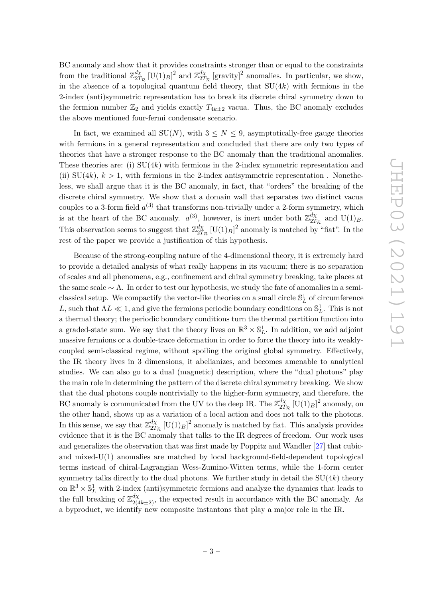BC anomaly and show that it provides constraints stronger than or equal to the constraints from the traditional  $\mathbb{Z}_{27}^{d\chi}$  $\frac{d\chi}{2T_{\mathcal{R}}}$  [U(1)<sub>*B*</sub>]<sup>2</sup> and  $\mathbb{Z}_{2T}^{d\chi}$  $\frac{d\chi}{2T_R}$  [gravity]<sup>2</sup> anomalies. In particular, we show, in the absence of a topological quantum field theory, that SU(4*k*) with fermions in the 2-index (anti)symmetric representation has to break its discrete chiral symmetry down to the fermion number  $\mathbb{Z}_2$  and yields exactly  $T_{4k\pm 2}$  vacua. Thus, the BC anomaly excludes the above mentioned four-fermi condensate scenario.

In fact, we examined all  $SU(N)$ , with  $3 \leq N \leq 9$ , asymptotically-free gauge theories with fermions in a general representation and concluded that there are only two types of theories that have a stronger response to the BC anomaly than the traditional anomalies. These theories are: (i) SU(4*k*) with fermions in the 2-index symmetric representation and (ii)  $SU(4k)$ ,  $k > 1$ , with fermions in the 2-index antisymmetric representation. Nonetheless, we shall argue that it is the BC anomaly, in fact, that "orders" the breaking of the discrete chiral symmetry. We show that a domain wall that separates two distinct vacua couples to a 3-form field  $a^{(3)}$  that transforms non-trivially under a 2-form symmetry, which is at the heart of the BC anomaly.  $a^{(3)}$ , however, is inert under both  $\mathbb{Z}_{27}^{d\chi}$  $T_{2T_{\mathcal{R}}}^{d\chi}$  and  $U(1)_B$ . This observation seems to suggest that  $\mathbb{Z}_{27}^{d\chi}$  $\frac{d\chi}{2T_R}$  [U(1)<sub>*B*</sub>]<sup>2</sup> anomaly is matched by "fiat". In the rest of the paper we provide a justification of this hypothesis.

Because of the strong-coupling nature of the 4-dimensional theory, it is extremely hard to provide a detailed analysis of what really happens in its vacuum; there is no separation of scales and all phenomena, e.g., confinement and chiral symmetry breaking, take places at the same scale  $\sim \Lambda$ . In order to test our hypothesis, we study the fate of anomalies in a semiclassical setup. We compactify the vector-like theories on a small circle  $\mathbb{S}^1_L$  of circumference *L*, such that  $\Lambda L \ll 1$ , and give the fermions periodic boundary conditions on  $\mathbb{S}^1_L$ . This is not a thermal theory; the periodic boundary conditions turn the thermal partition function into a graded-state sum. We say that the theory lives on  $\mathbb{R}^3 \times \mathbb{S}_L^1$ . In addition, we add adjoint massive fermions or a double-trace deformation in order to force the theory into its weaklycoupled semi-classical regime, without spoiling the original global symmetry. Effectively, the IR theory lives in 3 dimensions, it abelianizes, and becomes amenable to analytical studies. We can also go to a dual (magnetic) description, where the "dual photons" play the main role in determining the pattern of the discrete chiral symmetry breaking. We show that the dual photons couple nontrivially to the higher-form symmetry, and therefore, the BC anomaly is communicated from the UV to the deep IR. The  $\mathbb{Z}_{27}^{d\chi}$  $\frac{d\chi}{2T_R}$  [U(1)<sub>*B*</sub>]<sup>2</sup> anomaly, on the other hand, shows up as a variation of a local action and does not talk to the photons. In this sense, we say that  $\mathbb{Z}_{27}^{d\chi}$  $\frac{d\chi}{2T_R}$  [U(1)<sub>*B*</sub>]<sup>2</sup> anomaly is matched by fiat. This analysis provides evidence that it is the BC anomaly that talks to the IR degrees of freedom. Our work uses and generalizes the observation that was first made by Poppitz and Wandler [\[27\]](#page-27-6) that cubicand mixed-U(1) anomalies are matched by local background-field-dependent topological terms instead of chiral-Lagrangian Wess-Zumino-Witten terms, while the 1-form center symmetry talks directly to the dual photons. We further study in detail the SU(4*k*) theory on  $\mathbb{R}^3 \times \mathbb{S}_L^1$  with 2-index (anti)symmetric fermions and analyze the dynamics that leads to the full breaking of  $\mathbb{Z}_{2(4k+2)}^{d\chi}$ , the expected result in accordance with the BC anomaly. As a byproduct, we identify new composite instantons that play a major role in the IR.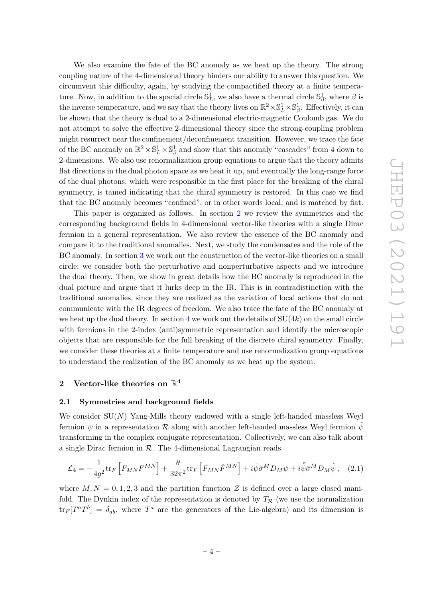We also examine the fate of the BC anomaly as we heat up the theory. The strong coupling nature of the 4-dimensional theory hinders our ability to answer this question. We circumvent this difficulty, again, by studying the compactified theory at a finite temperature. Now, in addition to the spacial circle  $\mathbb{S}^1_L$ , we also have a thermal circle  $\mathbb{S}^1_\beta$ , where  $\beta$  is the inverse temperature, and we say that the theory lives on  $\mathbb{R}^2 \times \mathbb{S}_L^1 \times \mathbb{S}_\beta^1$ . Effectively, it can be shown that the theory is dual to a 2-dimensional electric-magnetic Coulomb gas. We do not attempt to solve the effective 2-dimensional theory since the strong-coupling problem might resurrect near the confinement/deconfinement transition. However, we trace the fate of the BC anomaly on  $\mathbb{R}^2 \times \mathbb{S}_L^1 \times \mathbb{S}_\beta^1$  and show that this anomaly "cascades" from 4 down to 2-dimensions. We also use renormalization group equations to argue that the theory admits flat directions in the dual photon space as we heat it up, and eventually the long-range force of the dual photons, which were responsible in the first place for the breaking of the chiral symmetry, is tamed indicating that the chiral symmetry is restored. In this case we find that the BC anomaly becomes "confined", or in other words local, and is matched by fiat.

This paper is organized as follows. In section [2](#page-5-0) we review the symmetries and the corresponding background fields in 4-dimensional vector-like theories with a single Dirac fermion in a general representation. We also review the essence of the BC anomaly and compare it to the traditional anomalies. Next, we study the condensates and the role of the BC anomaly. In section [3](#page-12-0) we work out the construction of the vector-like theories on a small circle; we consider both the perturbative and nonperturbative aspects and we introduce the dual theory. Then, we show in great details how the BC anomaly is reproduced in the dual picture and argue that it lurks deep in the IR. This is in contradistinction with the traditional anomalies, since they are realized as the variation of local actions that do not communicate with the IR degrees of freedom. We also trace the fate of the BC anomaly at we heat up the dual theory. In section [4](#page-20-0) we work out the details of  $SU(4k)$  on the small circle with fermions in the 2-index (anti)symmetric representation and identify the microscopic objects that are responsible for the full breaking of the discrete chiral symmetry. Finally, we consider these theories at a finite temperature and use renormalization group equations to understand the realization of the BC anomaly as we heat up the system.

### <span id="page-5-0"></span> $2$  Vector-like theories on  $\mathbb{R}^4$

#### <span id="page-5-1"></span>**2.1 Symmetries and background fields**

We consider SU(N) Yang-Mills theory endowed with a single left-handed massless Weyl fermion  $\psi$  in a representation  $\mathcal R$  along with another left-handed massless Weyl fermion  $\bar{\psi}$ transforming in the complex conjugate representation. Collectively, we can also talk about a single Dirac fermion in  $R$ . The 4-dimensional Lagrangian reads

$$
\mathcal{L}_4 = -\frac{1}{4g^2} \text{tr}_F \left[ F_{MN} F^{MN} \right] + \frac{\theta}{32\pi^2} \text{tr}_F \left[ F_{MN} \tilde{F}^{MN} \right] + i \bar{\psi} \bar{\sigma}^M D_M \psi + i \bar{\tilde{\psi}} \bar{\sigma}^M D_M \tilde{\psi}, \quad (2.1)
$$

where  $M, N = 0, 1, 2, 3$  and the partition function Z is defined over a large closed manifold. The Dynkin index of the representation is denoted by  $T_R$  (we use the normalization  $\text{tr}_F[T^aT^b] = \delta_{ab}$ , where  $T^a$  are the generators of the Lie-algebra) and its dimension is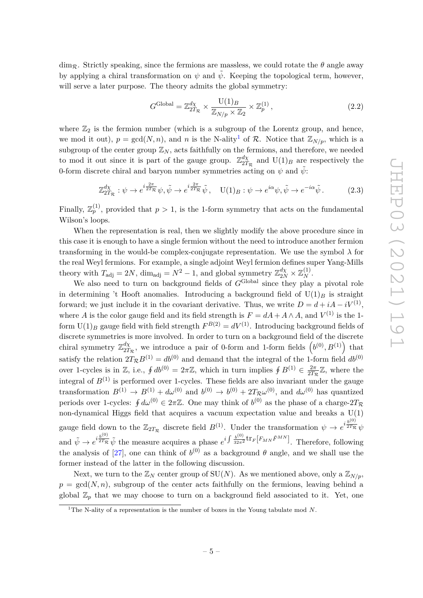$\dim_{\mathcal{R}}$ . Strictly speaking, since the fermions are massless, we could rotate the  $\theta$  angle away by applying a chiral transformation on  $\psi$  and  $\tilde{\psi}$ . Keeping the topological term, however, will serve a later purpose. The theory admits the global symmetry:

$$
G^{\text{Global}} = \mathbb{Z}_{2T_{\mathcal{R}}}^{\mathcal{d}\chi} \times \frac{\mathbf{U}(1)_{B}}{\mathbb{Z}_{N/p} \times \mathbb{Z}_{2}} \times \mathbb{Z}_{p}^{(1)}\,,\tag{2.2}
$$

where  $\mathbb{Z}_2$  is the fermion number (which is a subgroup of the Lorentz group, and hence, we mod it out),  $p = \gcd(N, n)$ , and *n* is the N-ality<sup>[1](#page-6-0)</sup> of R. Notice that  $\mathbb{Z}_{N/p}$ , which is a subgroup of the center group  $\mathbb{Z}_N$ , acts faithfully on the fermions, and therefore, we needed to mod it out since it is part of the gauge group.  $\mathbb{Z}_{27}^{d\chi}$  $\frac{d\chi}{2T_R}$  and  $U(1)_B$  are respectively the 0-form discrete chiral and baryon number symmetries acting on  $\psi$  and  $\psi$ :

$$
\mathbb{Z}_{2T_{\mathcal{R}}}^{d\chi} : \psi \to e^{i\frac{2\pi}{2T_{\mathcal{R}}}}\psi, \tilde{\psi} \to e^{i\frac{2\pi}{2T_{\mathcal{R}}}}\tilde{\psi}, \quad \mathcal{U}(1)_B : \psi \to e^{i\alpha}\psi, \tilde{\psi} \to e^{-i\alpha}\tilde{\psi}.
$$
 (2.3)

Finally,  $\mathbb{Z}_p^{(1)}$ , provided that  $p > 1$ , is the 1-form symmetry that acts on the fundamental Wilson's loops.

When the representation is real, then we slightly modify the above procedure since in this case it is enough to have a single fermion without the need to introduce another fermion transforming in the would-be complex-conjugate representation. We use the symbol  $\lambda$  for the real Weyl fermions. For example, a single adjoint Weyl fermion defines super Yang-Mills theory with  $T_{\text{adj}} = 2N$ ,  $\dim_{\text{adj}} = N^2 - 1$ , and global symmetry  $\mathbb{Z}_{2N}^{d\chi} \times \mathbb{Z}_N^{(1)}$ .

We also need to turn on background fields of  $G^{\text{Global}}$  since they play a pivotal role in determining 't Hooft anomalies. Introducing a background field of  $U(1)_B$  is straight forward; we just include it in the covariant derivative. Thus, we write  $D = d + iA - iV^{(1)}$ , where *A* is the color gauge field and its field strength is  $F = dA + A \wedge A$ , and  $V^{(1)}$  is the 1form  $U(1)_B$  gauge field with field strength  $F^{B(2)} = dV^{(1)}$ . Introducing background fields of discrete symmetries is more involved. In order to turn on a background field of the discrete chiral symmetry Z *dχ*  $\frac{d\chi}{2T_R}$ , we introduce a pair of 0-form and 1-form fields  $(b^{(0)}, B^{(1)})$  that satisfy the relation  $2T_{\mathcal{R}}B^{(1)} = db^{(0)}$  and demand that the integral of the 1-form field  $db^{(0)}$ over 1-cycles is in Z, i.e.,  $\oint db^{(0)} = 2\pi \mathbb{Z}$ , which in turn implies  $\oint B^{(1)} \in \frac{2\pi}{27\pi}$  $\frac{2\pi}{2T_{\mathcal{R}}} \mathbb{Z}$ , where the integral of  $B^{(1)}$  is performed over 1-cycles. These fields are also invariant under the gauge transformation  $B^{(1)} \to B^{(1)} + d\omega^{(0)}$  and  $b^{(0)} \to b^{(0)} + 2T_R\omega^{(0)}$ , and  $d\omega^{(0)}$  has quantized periods over 1-cycles:  $\oint d\omega^{(0)} \in 2\pi\mathbb{Z}$ . One may think of  $b^{(0)}$  as the phase of a charge- $2T_{\mathcal{R}}$ non-dynamical Higgs field that acquires a vacuum expectation value and breaks a  $U(1)$ gauge field down to the  $\mathbb{Z}_{2T_R}$  discrete field  $B^{(1)}$ . Under the transformation  $\psi \to e^{i\frac{b^{(0)}}{2T_R}}$  $^{\overline{2T_{\mathcal{R}}}}\psi$ and  $\tilde{\psi} \to e^{i \frac{b^{(0)}}{2T_R}} \tilde{\psi}$  the measure acquires a phase  $e^{i \int \frac{b^{(0)}}{32\pi^2}}$  $\frac{b^{(0)}}{32\pi^2}$ tr<sub>*F*</sub> [*F<sub>MN</sub>*  $\tilde{F}^{MN}$ ]. Therefore, following the analysis of [\[27\]](#page-27-6), one can think of  $b^{(0)}$  as a background  $\theta$  angle, and we shall use the former instead of the latter in the following discussion.

Next, we turn to the  $\mathbb{Z}_N$  center group of SU(*N*). As we mentioned above, only a  $\mathbb{Z}_{N/p}$ ,  $p = \gcd(N, n)$ , subgroup of the center acts faithfully on the fermions, leaving behind a global  $\mathbb{Z}_p$  that we may choose to turn on a background field associated to it. Yet, one

<span id="page-6-0"></span><sup>&</sup>lt;sup>1</sup>The N-ality of a representation is the number of boxes in the Young tabulate mod  $N$ .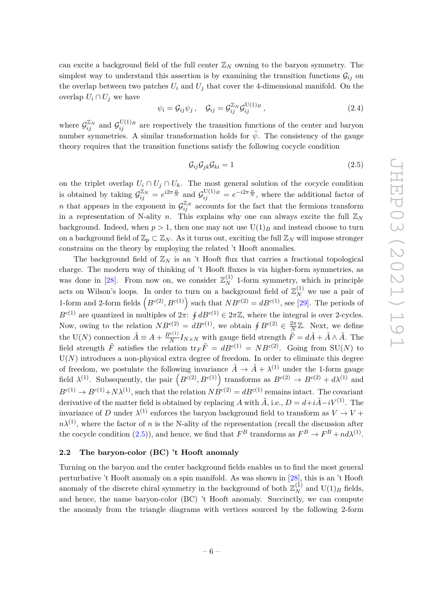can excite a background field of the full center  $\mathbb{Z}_N$  owning to the baryon symmetry. The simplest way to understand this assertion is by examining the transition functions  $\mathcal{G}_{ij}$  on the overlap between two patches  $U_i$  and  $U_j$  that cover the 4-dimensional manifold. On the overlap  $U_i \cap U_j$  we have

$$
\psi_i = \mathcal{G}_{ij}\psi_j \,, \quad \mathcal{G}_{ij} = \mathcal{G}_{ij}^{\mathbb{Z}_N} \mathcal{G}_{ij}^{\mathrm{U}(1)_B} \,, \tag{2.4}
$$

where  $\mathcal{G}_{ij}^{\mathbb{Z}_N}$  and  $\mathcal{G}_{ij}^{\mathrm{U}(1)_B}$  are respectively the transition functions of the center and baryon number symmetries. A similar transformation holds for  $\tilde{\psi}$ . The consistency of the gauge theory requires that the transition functions satisfy the following cocycle condition

<span id="page-7-1"></span>
$$
\mathcal{G}_{ij}\mathcal{G}_{jk}\mathcal{G}_{ki}=1\tag{2.5}
$$

on the triplet overlap  $U_i \cap U_j \cap U_k$ . The most general solution of the cocycle condition is obtained by taking  $\mathcal{G}_{ij}^{\mathbb{Z}_N} = e^{i2\pi \frac{n}{N}}$  and  $\mathcal{G}_{ij}^{\mathrm{U}(1)_B} = e^{-i2\pi \frac{n}{N}}$ , where the additional factor of *n* that appears in the exponent in  $\mathcal{G}_{ij}^{\mathbb{Z}_N}$  accounts for the fact that the fermions transform in a representation of N-ality *n*. This explains why one can always excite the full  $\mathbb{Z}_N$ background. Indeed, when  $p > 1$ , then one may not use  $U(1)_B$  and instead choose to turn on a background field of  $\mathbb{Z}_p \subset \mathbb{Z}_N$ . As it turns out, exciting the full  $\mathbb{Z}_N$  will impose stronger constrains on the theory by employing the related 't Hooft anomalies.

The background field of  $\mathbb{Z}_N$  is an 't Hooft flux that carries a fractional topological charge. The modern way of thinking of 't Hooft fluxes is via higher-form symmetries, as was done in [\[28\]](#page-27-7). From now on, we consider  $\mathbb{Z}_N^{(1)}$  1-form symmetry, which in principle acts on Wilson's loops. In order to turn on a background field of  $\mathbb{Z}_N^{(1)}$  we use a pair of 1-form and 2-form fields  $\left(B^{c(2)}, B^{c(1)}\right)$  such that  $NB^{c(2)} = dB^{c(1)}$ , see [\[29\]](#page-27-8). The periods of  $B^{c(1)}$  are quantized in multiples of  $2\pi$ :  $\oint dB^{c(1)} \in 2\pi\mathbb{Z}$ , where the integral is over 2-cycles. Now, owing to the relation  $NB^{c(2)} = dB^{c(1)}$ , we obtain  $\oint B^{c(2)} \in \frac{2\pi}{N}$  $\frac{2\pi}{N}\mathbb{Z}$ . Next, we define the U(*N*) connection  $\tilde{A} \equiv A + \frac{B^{c(1)}}{N}$  $\frac{C^{(1)}}{N}I_{N\times N}$  with gauge field strength  $\tilde{F} = d\tilde{A} + \tilde{A} \wedge \tilde{A}$ . The field strength  $\tilde{F}$  satisfies the relation  ${\rm tr}_F \tilde{F} = dB^{c(1)} = NB^{c(2)}$ . Going from SU(*N*) to  $U(N)$  introduces a non-physical extra degree of freedom. In order to eliminate this degree of freedom, we postulate the following invariance  $\tilde{A} \to \tilde{A} + \lambda^{(1)}$  under the 1-form gauge field  $\lambda^{(1)}$ . Subsequently, the pair  $\left(B^{c(2)}, B^{c(1)}\right)$  transforms as  $B^{c(2)} \to B^{c(2)} + d\lambda^{(1)}$  and  $B^{c(1)} \to B^{c(1)} + N\lambda^{(1)}$ , such that the relation  $N\overline{B}^{c(2)} = dB^{c(1)}$  remains intact. The covariant derivative of the matter field is obtained by replacing *A* with  $\tilde{A}$ , i.e.,  $D = d + i\tilde{A} - iV^{(1)}$ . The invariance of *D* under  $\lambda^{(1)}$  enforces the baryon background field to transform as  $V \to V +$  $n\lambda^{(1)}$ , where the factor of *n* is the N-ality of the representation (recall the discussion after the cocycle condition [\(2.5\)](#page-7-1)), and hence, we find that  $F^B$  transforms as  $F^B \to F^B + nd\lambda^{(1)}$ .

#### <span id="page-7-0"></span>**2.2 The baryon-color (BC) 't Hooft anomaly**

Turning on the baryon and the center background fields enables us to find the most general perturbative 't Hooft anomaly on a spin manifold. As was shown in [\[28\]](#page-27-7), this is an 't Hooft anomaly of the discrete chiral symmetry in the background of both  $\mathbb{Z}_N^{(1)}$  and  $\mathrm{U}(1)_B$  fields, and hence, the name baryon-color (BC) 't Hooft anomaly. Succinctly, we can compute the anomaly from the triangle diagrams with vertices sourced by the following 2-form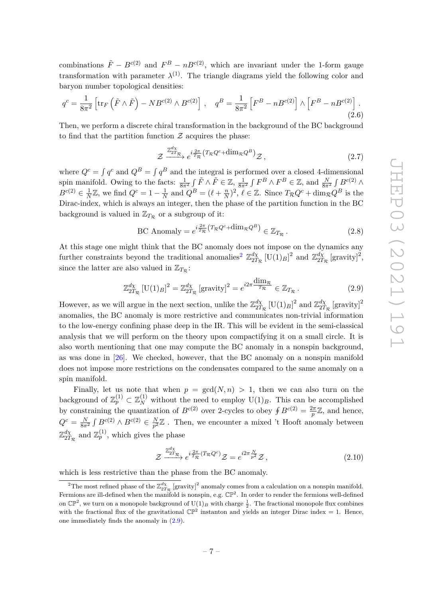combinations  $\tilde{F} - B^{c(2)}$  and  $F^B - nB^{c(2)}$ , which are invariant under the 1-form gauge transformation with parameter  $\lambda^{(1)}$ . The triangle diagrams yield the following color and baryon number topological densities:

<span id="page-8-3"></span>
$$
q^{c} = \frac{1}{8\pi^{2}} \left[ \text{tr}_{F} \left( \tilde{F} \wedge \tilde{F} \right) - N B^{c(2)} \wedge B^{c(2)} \right], \quad q^{B} = \frac{1}{8\pi^{2}} \left[ F^{B} - n B^{c(2)} \right] \wedge \left[ F^{B} - n B^{c(2)} \right]. \tag{2.6}
$$

Then, we perform a discrete chiral transformation in the background of the BC background to find that the partition function  $\mathcal Z$  acquires the phase:

<span id="page-8-4"></span>
$$
\mathcal{Z} \xrightarrow{\mathbb{Z}_{2T_{\mathcal{R}}^{d_{\chi}}}} e^{i\frac{2\pi}{T_{\mathcal{R}}}(T_{\mathcal{R}}Q^{c} + \dim_{\mathcal{R}}Q^{B})} \mathcal{Z}, \qquad (2.7)
$$

where  $Q^c = \int q^c$  and  $Q^B = \int q^B$  and the integral is performed over a closed 4-dimensional spin manifold. Owing to the facts:  $\frac{1}{8\pi^2} \int \tilde{F} \wedge \tilde{F} \in \mathbb{Z}$ ,  $\frac{1}{8\pi^2} \int F^B \wedge F^B \in \mathbb{Z}$ , and  $\frac{N}{8\pi^2} \int B^{c(2)} \wedge$  $B^{c(2)} \in \frac{1}{\lambda}$  $\frac{1}{N}\mathbb{Z}$ , we find  $Q^c = 1 - \frac{1}{N}$  $\frac{1}{N}$  and  $Q^B = (\ell + \frac{n}{N})$  $(\frac{n}{N})^2$ ,  $\ell \in \mathbb{Z}$ . Since  $T_{\mathcal{R}}Q^c + \dim_{\mathcal{R}}Q^B$  is the Dirac-index, which is always an integer, then the phase of the partition function in the BC background is valued in  $\mathbb{Z}_{T_R}$  or a subgroup of it:

BC Anomaly = 
$$
e^{i\frac{2\pi}{T_{\mathcal{R}}}(T_{\mathcal{R}}Q^c + \dim_{\mathcal{R}}Q^B)} \in \mathbb{Z}_{T_{\mathcal{R}}}
$$
. (2.8)

At this stage one might think that the BC anomaly does not impose on the dynamics any further constraints beyond the traditional anomalies<sup>[2](#page-8-0)</sup>  $\mathbb{Z}_{27}^{d\chi}$  $\frac{d\chi}{2T_{\mathcal{R}}}$  [U(1)<sub>*B*</sub>]<sup>2</sup> and  $\mathbb{Z}_{2T}^{d\chi}$  $\frac{d\chi}{2T_{\mathcal{R}}}$  [gravity]<sup>2</sup>, since the latter are also valued in  $\mathbb{Z}_{T_R}$ :

<span id="page-8-1"></span>
$$
\mathbb{Z}_{2T_{\mathcal{R}}}^{d\chi} \left[ \mathbf{U}(1)_{B} \right]^{2} = \mathbb{Z}_{2T_{\mathcal{R}}}^{d\chi} \left[ \text{gravity} \right]^{2} = e^{i2\pi} \frac{\dim_{\mathcal{R}}}{T_{\mathcal{R}}} \in \mathbb{Z}_{T_{\mathcal{R}}} \,. \tag{2.9}
$$

However, as we will argue in the next section, unlike the  $\mathbb{Z}_{27}^{d\chi}$  $\frac{d\chi}{2T_{\mathcal{R}}}$  [U(1)<sub>*B*</sub>]<sup>2</sup> and  $\mathbb{Z}_{2T}^{d\chi}$  $\frac{d\chi}{2T_{\mathcal{R}}}$  [gravity]<sup>2</sup> anomalies, the BC anomaly is more restrictive and communicates non-trivial information to the low-energy confining phase deep in the IR. This will be evident in the semi-classical analysis that we will perform on the theory upon compactifying it on a small circle. It is also worth mentioning that one may compute the BC anomaly in a nonspin background, as was done in [\[26\]](#page-27-4). We checked, however, that the BC anomaly on a nonspin manifold does not impose more restrictions on the condensates compared to the same anomaly on a spin manifold.

Finally, let us note that when  $p = \gcd(N, n) > 1$ , then we can also turn on the background of  $\mathbb{Z}_p^{(1)} \subset \mathbb{Z}_N^{(1)}$  without the need to employ  $\mathrm{U}(1)_B$ . This can be accomplished by constraining the quantization of  $B^{c(2)}$  over 2-cycles to obey  $\oint B^{c(2)} = \frac{2\pi}{n}$  $\frac{2\pi}{p} \mathbb{Z}$ , and hence,  $Q^c = \frac{N}{8\pi^2} \int B^{c(2)} \wedge B^{c(2)} \in \frac{N}{p^2}$  $\frac{N}{p^2}\mathbb{Z}$ . Then, we encounter a mixed 't Hooft anomaly between  $\mathbb{Z}_{\alpha}^{d\chi}$  $\frac{d\chi}{2T_{\mathcal{R}}}$  and  $\mathbb{Z}_p^{(1)}$ , which gives the phase

<span id="page-8-2"></span>
$$
\mathcal{Z} \xrightarrow{\mathbb{Z}_{2T_{\mathcal{R}}^{d_{\chi}}}} e^{i\frac{2\pi}{T_{\mathcal{R}}}(T_{\mathcal{R}}Q^{c})} \mathcal{Z} = e^{i2\pi \frac{N}{p^{2}}} \mathcal{Z}, \qquad (2.10)
$$

which is less restrictive than the phase from the BC anomaly.

<span id="page-8-0"></span><sup>&</sup>lt;sup>2</sup>The most refined phase of the  $\mathbb{Z}_{2T_R}^{d\chi}$  [gravity]<sup>2</sup> anomaly comes from a calculation on a nonspin manifold. Fermions are ill-defined when the manifold is nonspin, e.g.  $\mathbb{CP}^2$ . In order to render the fermions well-defined on  $\mathbb{CP}^2$ , we turn on a monopole background of  $\mathrm{U}(1)_B$  with charge  $\frac{1}{2}$ . The fractional monopole flux combines with the fractional flux of the gravitational  $\mathbb{CP}^2$  instanton and yields an integer Dirac index = 1. Hence, one immediately finds the anomaly in [\(2.9\)](#page-8-1).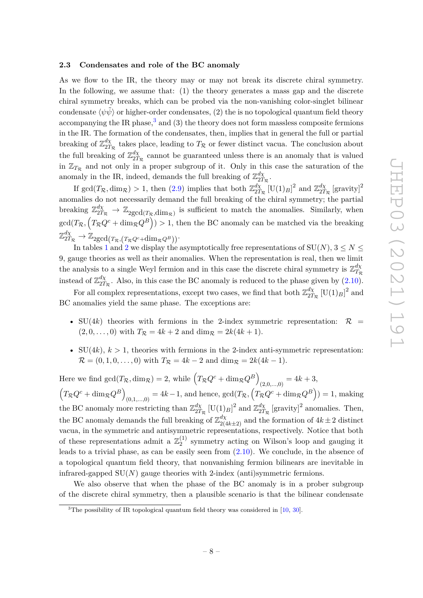#### <span id="page-9-0"></span>**2.3 Condensates and role of the BC anomaly**

As we flow to the IR, the theory may or may not break its discrete chiral symmetry. In the following, we assume that: (1) the theory generates a mass gap and the discrete chiral symmetry breaks, which can be probed via the non-vanishing color-singlet bilinear condensate  $\langle \psi \tilde{\psi} \rangle$  or higher-order condensates, (2) the is no topological quantum field theory accompanying the IR phase,<sup>[3](#page-9-1)</sup> and (3) the theory does not form massless composite fermions in the IR. The formation of the condensates, then, implies that in general the full or partial breaking of  $\mathbb{Z}_{27}^{d\chi}$  $\frac{dX}{2T_R}$  takes place, leading to  $T_R$  or fewer distinct vacua. The conclusion about the full breaking of  $\mathbb{Z}_{27}^{d\chi}$  $\frac{dX}{2T_R}$  cannot be guaranteed unless there is an anomaly that is valued in  $\mathbb{Z}_{T_R}$  and not only in a proper subgroup of it. Only in this case the saturation of the anomaly in the IR, indeed, demands the full breaking of  $\mathbb{Z}_{27}^{d\chi}$  $\frac{a\chi}{2T_{\mathcal{R}}}.$ 

If  $gcd(T_{\mathcal{R}}, dim_{\mathcal{R}}) > 1$ , then [\(2.9\)](#page-8-1) implies that both  $\mathbb{Z}_{2T}^{d\chi}$  $\frac{d\chi}{2T_{\mathcal{R}}}$  [U(1)<sub>*B*</sub>]<sup>2</sup> and  $\mathbb{Z}_{2T}^{d\chi}$  $\frac{d\chi}{2T_{\mathcal{R}}}$  [gravity]<sup>2</sup> anomalies do not necessarily demand the full breaking of the chiral symmetry; the partial breaking  $\mathbb{Z}_{2T_R}^{d\chi} \to \mathbb{Z}_{2\text{gcd}(T_R,\text{dim}_\mathcal{R})}$  is sufficient to match the anomalies. Similarly, when  $\gcd(T_{\mathcal{R}}, \left(T_{\mathcal{R}}Q^c + \dim_{\mathcal{R}}Q^B\right)) > 1$ , then the BC anomaly can be matched via the breaking  $\mathbb{Z}_{2T_{\mathcal{R}}}^{d\chi} \rightarrow \mathbb{Z}_{2\text{gcd}(T_{\mathcal{R}},(T_{\mathcal{R}}Q^c+\text{dim}_{\mathcal{R}}Q^B))}.$ 

In tables [1](#page-10-0) and [2](#page-11-0) we display the asymptotically free representations of  $SU(N)$ ,  $3 \le N \le$ 9, gauge theories as well as their anomalies. When the representation is real, then we limit the analysis to a single Weyl fermion and in this case the discrete chiral symmetry is  $\mathbb{Z}_{T_r}^{d\chi}$ *T*<sup>R</sup> instead of  $\mathbb{Z}_{27}^{d\chi}$  $\frac{d\chi}{2T_R}$ . Also, in this case the BC anomaly is reduced to the phase given by  $(2.10)$ .

For all complex representations, except two cases, we find that both  $\mathbb{Z}_{27}^{d\chi}$  $\frac{d\chi}{2T_{\mathcal{R}}}$  [U(1)<sub>*B*</sub>]<sup>2</sup> and BC anomalies yield the same phase. The exceptions are:

- SU(4k) theories with fermions in the 2-index symmetric representation:  $\mathcal{R}$  =  $(2, 0, \ldots, 0)$  with  $T_{\mathcal{R}} = 4k + 2$  and  $\dim_{\mathcal{R}} = 2k(4k + 1)$ .
- $SU(4k)$ ,  $k > 1$ , theories with fermions in the 2-index anti-symmetric representation:  $\mathcal{R} = (0, 1, 0, \dots, 0)$  with  $T_{\mathcal{R}} = 4k - 2$  and dim $_{\mathcal{R}} = 2k(4k - 1)$ .

Here we find  $gcd(T_{\mathcal{R}}, dim_{\mathcal{R}}) = 2$ , while  $(T_{\mathcal{R}}Q^c + dim_{\mathcal{R}}Q^B)$  $(2,0,...,0) = 4k + 3,$  $(T_{\mathcal{R}}Q^c + \text{dim}_{\mathcal{R}}Q^B)$  $(0,1,...,0) = 4k-1$ , and hence,  $gcd(T_{\mathcal{R}}, (T_{\mathcal{R}}Q^{c} + \dim_{\mathcal{R}}Q^{B})) = 1$ , making the BC anomaly more restricting than  $\mathbb{Z}_{27}^{d\chi}$  $\frac{d\chi}{2T_{\mathcal{R}}}$  [U(1)<sub>*B*</sub>]<sup>2</sup> and  $\mathbb{Z}_{2T}^{d\chi}$  $\frac{d\chi}{2T_R}$  [gravity]<sup>2</sup> anomalies. Then, the BC anomaly demands the full breaking of  $\mathbb{Z}_{2(4k\pm2)}^{d\chi}$  and the formation of  $4k\pm2$  distinct vacua, in the symmetric and antisymmetric representations, respectively. Notice that both of these representations admit a  $\mathbb{Z}_2^{(1)}$  $_2^{(1)}$  symmetry acting on Wilson's loop and gauging it leads to a trivial phase, as can be easily seen from  $(2.10)$ . We conclude, in the absence of a topological quantum field theory, that nonvanishing fermion bilinears are inevitable in infrared-gapped  $SU(N)$  gauge theories with 2-index (anti)symmetric fermions.

We also observe that when the phase of the BC anomaly is in a prober subgroup of the discrete chiral symmetry, then a plausible scenario is that the bilinear condensate

<span id="page-9-1"></span><sup>&</sup>lt;sup>3</sup>The possibility of IR topological quantum field theory was considered in [\[10,](#page-27-9) [30\]](#page-28-0).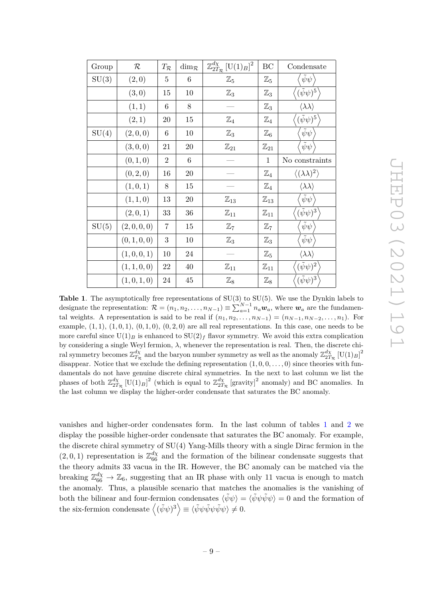| Group | $\mathcal R$ | $T_{\mathcal{R}}$ | $\dim_{\mathcal{R}}$ | $\mathbb{Z}_{2T_{\mathcal{R}}}^{d\chi}\,[\mathop{\rm U}(1)_B]^2$ | BC                | Condensate                            |
|-------|--------------|-------------------|----------------------|------------------------------------------------------------------|-------------------|---------------------------------------|
| SU(3) | (2,0)        | $\overline{5}$    | 6                    | $\mathbb{Z}_5$                                                   | $\mathbb{Z}_5$    | $\tilde{\psi}\psi$                    |
|       | (3,0)        | 15                | 10                   | $\mathbb{Z}_3$                                                   | $\mathbb{Z}_3$    | $\bigl((\tilde{\psi}\psi)^5\bigr)$    |
|       | (1, 1)       | 6                 | 8                    |                                                                  | $\mathbb{Z}_3$    | $\langle \lambda \lambda \rangle$     |
|       | (2,1)        | 20                | 15                   | $\mathbb{Z}_4$                                                   | $\mathbb{Z}_4$    | $(\tilde{\psi}\psi)^5$                |
| SU(4) | (2,0,0)      | 6                 | 10                   | $\mathbb{Z}_3$                                                   | $\mathbb{Z}_6$    | $\tilde{\psi}\psi$                    |
|       | (3,0,0)      | 21                | 20                   | $\mathbb{Z}_{21}$                                                | $\mathbb{Z}_{21}$ | $\tilde{\psi}\psi$                    |
|       | (0,1,0)      | $\overline{2}$    | $6\phantom{.}6$      |                                                                  | $\mathbf{1}$      | No constraints                        |
|       | (0, 2, 0)    | 16                | $20\,$               |                                                                  | $\mathbb{Z}_4$    | $\langle (\lambda \lambda)^2 \rangle$ |
|       | (1,0,1)      | 8                 | 15                   |                                                                  | $\mathbb{Z}_4$    | $\langle \lambda \lambda \rangle$     |
|       | (1,1,0)      | 13                | 20                   | $\mathbb{Z}_{13}$                                                | $\mathbb{Z}_{13}$ | $\tilde{\psi}\psi$                    |
|       | (2,0,1)      | 33                | 36                   | $\mathbb{Z}_{11}$                                                | $\mathbb{Z}_{11}$ | $(\tilde{\psi}\psi)^3$                |
| SU(5) | (2,0,0,0)    | 7                 | 15                   | $\mathbb{Z}_7$                                                   | $\mathbb{Z}_7$    | $\tilde{\psi}\psi$                    |
|       | (0, 1, 0, 0) | 3                 | 10                   | $\mathbb{Z}_3$                                                   | $\mathbb{Z}_3$    | $\psi\psi$                            |
|       | (1,0,0,1)    | 10                | 24                   |                                                                  | $\mathbb{Z}_5$    | $\langle \lambda \lambda \rangle$     |
|       | (1, 1, 0, 0) | 22                | $40\,$               | $\mathbb{Z}_{11}$                                                | $\mathbb{Z}_{11}$ | $(\tilde{\psi}\psi)^2$                |
|       | (1,0,1,0)    | 24                | $45\,$               | $\mathbb{Z}_8$                                                   | $\mathbb{Z}_8$    | $(\tilde{\psi}\psi)^3$                |

JHEP03 (2021)191 JHEP03(2021)191

<span id="page-10-0"></span>**Table 1**. The asymptotically free representations of SU(3) to SU(5). We use the Dynkin labels to designate the representation:  $\mathcal{R} = (n_1, n_2, \ldots, n_{N-1}) \equiv \sum_{a=1}^{N-1} n_a \boldsymbol{w}_a$ , where  $\boldsymbol{w}_a$  are the fundamental weights. A representation is said to be real if  $(n_1, n_2, \ldots, n_{N-1}) = (n_{N-1}, n_{N-2}, \ldots, n_1)$ . For example,  $(1,1)$ ,  $(1,0,1)$ ,  $(0,1,0)$ ,  $(0,2,0)$  are all real representations. In this case, one needs to be more careful since  $U(1)_B$  is enhanced to  $SU(2)_f$  flavor symmetry. We avoid this extra complication by considering a single Weyl fermion, *λ*, whenever the representation is real. Then, the discrete chiral symmetry becomes  $\mathbb{Z}_{T_R}^{d\chi}$  and the baryon number symmetry as well as the anomaly  $\mathbb{Z}_{2T_R}^{d\chi}$  [U(1)<sub>*B*</sub>]<sup>2</sup> disappear. Notice that we exclude the defining representation  $(1, 0, 0, \ldots, 0)$  since theories with fundamentals do not have genuine discrete chiral symmetries. In the next to last column we list the phases of both  $\mathbb{Z}_{2T_{\mathcal{R}}}^{d\chi}$  [U(1)<sub>*B*</sub>]<sup>2</sup> (which is equal to  $\mathbb{Z}_{2T_{\mathcal{R}}}^{d\chi}$  [gravity]<sup>2</sup> anomaly) and BC anomalies. In the last column we display the higher-order condensate that saturates the BC anomaly.

vanishes and higher-order condensates form. In the last column of tables [1](#page-10-0) and [2](#page-11-0) we display the possible higher-order condensate that saturates the BC anomaly. For example, the discrete chiral symmetry of SU(4) Yang-Mills theory with a single Dirac fermion in the  $(2,0,1)$  representation is  $\mathbb{Z}_{66}^{d\chi}$  and the formation of the bilinear condensate suggests that the theory admits 33 vacua in the IR. However, the BC anomaly can be matched via the breaking  $\mathbb{Z}_{66}^{d\chi} \to \mathbb{Z}_6$ , suggesting that an IR phase with only 11 vacua is enough to match the anomaly. Thus, a plausible scenario that matches the anomalies is the vanishing of both the bilinear and four-fermion condensates  $\langle \tilde{\psi}\psi \rangle = \langle \tilde{\psi}\psi \tilde{\psi}\psi \rangle = 0$  and the formation of the six-fermion condensate  $\langle (\tilde{\psi}\psi)^3 \rangle \equiv \langle \tilde{\psi}\psi \tilde{\psi}\psi \tilde{\psi}\psi \rangle \neq 0.$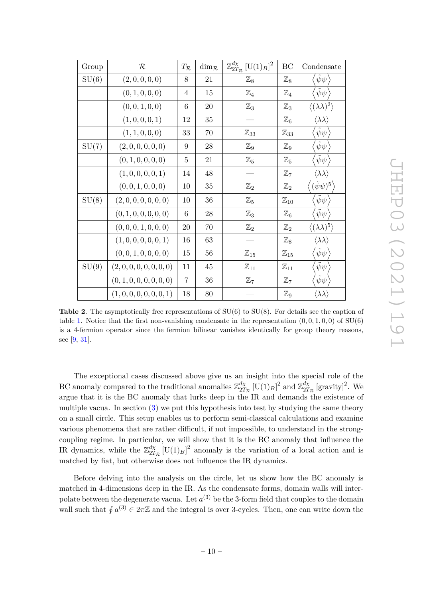| Group | $\cal R$                 | $T_{\mathcal{R}}$ | $\dim_{\mathcal{R}}$ | $\mathbb{Z}_{2T_{\mathcal{R}}}^{d\chi} \, [\text{U}(1)_B]^2$ | BC                | Condensate                          |
|-------|--------------------------|-------------------|----------------------|--------------------------------------------------------------|-------------------|-------------------------------------|
| SU(6) | (2,0,0,0,0)              | 8                 | 21                   | $\mathbb{Z}_8$                                               | $\mathbb{Z}_8$    | $\tilde{\psi}\psi$                  |
|       | (0, 1, 0, 0, 0)          | 4                 | 15                   | $\mathbb{Z}_4$                                               | $\mathbb{Z}_4$    | $\tilde{\psi}\psi$                  |
|       | (0, 0, 1, 0, 0)          | 6                 | 20                   | $\mathbb{Z}_3$                                               | $\mathbb{Z}_3$    | $\langle (\lambda\lambda)^2\rangle$ |
|       | (1,0,0,0,1)              | 12                | 35                   |                                                              | $\mathbb{Z}_6$    | $\langle \lambda \lambda \rangle$   |
|       | (1, 1, 0, 0, 0)          | 33                | 70                   | $\mathbb{Z}_{33}$                                            | $\mathbb{Z}_{33}$ | $\tilde{\psi}\psi$                  |
| SU(7) | (2,0,0,0,0,0)            | 9                 | $\ensuremath{28}$    | $\mathbb{Z}_9$                                               | $\mathbb{Z}_9$    | $\bar{\psi}\psi$                    |
|       | (0, 1, 0, 0, 0, 0)       | 5                 | 21                   | $\mathbb{Z}_5$                                               | $\mathbb{Z}_5$    | $\bar{\psi}\psi$                    |
|       | (1,0,0,0,0,1)            | 14                | 48                   |                                                              | $\mathbb{Z}_7$    | $\langle \lambda \lambda \rangle$   |
|       | (0, 0, 1, 0, 0, 0)       | 10                | 35                   | $\mathbb{Z}_2$                                               | $\mathbb{Z}_2$    | $(\tilde{\psi}\psi)^5$              |
| SU(8) | (2,0,0,0,0,0,0)          | 10                | 36                   | $\mathbb{Z}_5$                                               | $\mathbb{Z}_{10}$ | $\tilde{\psi}\psi$                  |
|       | (0, 1, 0, 0, 0, 0, 0)    | 6                 | 28                   | $\mathbb{Z}_3$                                               | $\mathbb{Z}_6$    | $\tilde{\psi}\psi$                  |
|       | (0, 0, 0, 1, 0, 0, 0)    | 20                | 70                   | $\mathbb{Z}_2$                                               | $\mathbb{Z}_2$    | $\langle (\lambda\lambda)^5\rangle$ |
|       | (1,0,0,0,0,0,1)          | 16                | 63                   |                                                              | $\mathbb{Z}_8$    | $\langle \lambda \lambda \rangle$   |
|       | (0, 0, 1, 0, 0, 0, 0)    | 15                | 56                   | $\mathbb{Z}_{15}$                                            | $\mathbb{Z}_{15}$ | $\tilde{\psi}\psi$                  |
| SU(9) | (2,0,0,0,0,0,0,0)        | 11                | 45                   | $\mathbb{Z}_{11}$                                            | $\mathbb{Z}_{11}$ | $\tilde{\psi}\psi$                  |
|       | (0, 1, 0, 0, 0, 0, 0, 0) | 7                 | 36                   | $\mathbb{Z}_7$                                               | $\mathbb{Z}_7$    | $\tilde{\psi}\psi$                  |
|       | (1, 0, 0, 0, 0, 0, 0, 1) | 18                | 80                   |                                                              | $\mathbb{Z}_9$    | $\langle \lambda \lambda \rangle$   |

<span id="page-11-0"></span>**Table 2.** The asymptotically free representations of  $SU(6)$  to  $SU(8)$ . For details see the caption of table [1.](#page-10-0) Notice that the first non-vanishing condensate in the representation  $(0, 0, 1, 0, 0)$  of SU(6) is a 4-fermion operator since the fermion bilinear vanishes identically for group theory reasons, see [\[9,](#page-26-4) [31\]](#page-28-1).

The exceptional cases discussed above give us an insight into the special role of the BC anomaly compared to the traditional anomalies  $\mathbb{Z}_{27}^{d\chi}$  $\frac{d\chi}{2T_{\mathcal{R}}}$  [U(1)<sub>*B*</sub>]<sup>2</sup> and  $\mathbb{Z}_{2T}^{d\chi}$  $\frac{d\chi}{2T_{\mathcal{R}}}$  [gravity]<sup>2</sup>. We argue that it is the BC anomaly that lurks deep in the IR and demands the existence of multiple vacua. In section  $(3)$  we put this hypothesis into test by studying the same theory on a small circle. This setup enables us to perform semi-classical calculations and examine various phenomena that are rather difficult, if not impossible, to understand in the strongcoupling regime. In particular, we will show that it is the BC anomaly that influence the IR dynamics, while the  $\mathbb{Z}_{27}^{d\chi}$  $\frac{d\chi}{2T_R}$  [U(1)<sub>*B*</sub>]<sup>2</sup> anomaly is the variation of a local action and is matched by fiat, but otherwise does not influence the IR dynamics.

Before delving into the analysis on the circle, let us show how the BC anomaly is matched in 4-dimensions deep in the IR. As the condensate forms, domain walls will interpolate between the degenerate vacua. Let  $a^{(3)}$  be the 3-form field that couples to the domain wall such that  $\oint a^{(3)} \in 2\pi\mathbb{Z}$  and the integral is over 3-cycles. Then, one can write down the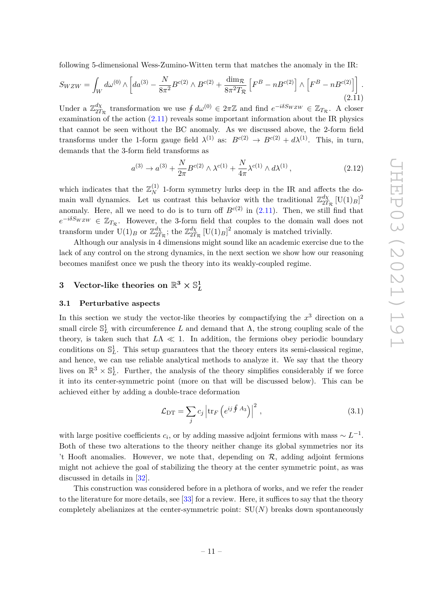following 5-dimensional Wess-Zumino-Witten term that matches the anomaly in the IR:

<span id="page-12-2"></span>
$$
S_{WZW} = \int_W d\omega^{(0)} \wedge \left[ da^{(3)} - \frac{N}{8\pi^2} B^{c(2)} \wedge B^{c(2)} + \frac{\dim \mathcal{R}}{8\pi^2 T_{\mathcal{R}}} \left[ F^B - n B^{c(2)} \right] \wedge \left[ F^B - n B^{c(2)} \right] \right].
$$
\n(2.11)

Under a Z *dχ*  $\frac{d\chi}{2T_R}$  transformation we use  $\oint d\omega^{(0)} \in 2\pi\mathbb{Z}$  and find  $e^{-i\delta S_W z_W} \in \mathbb{Z}_{T_R}$ . A closer examination of the action [\(2.11\)](#page-12-2) reveals some important information about the IR physics that cannot be seen without the BC anomaly. As we discussed above, the 2-form field transforms under the 1-form gauge field  $\lambda^{(1)}$  as:  $B^{c(2)} \to B^{c(2)} + d\lambda^{(1)}$ . This, in turn, demands that the 3-form field transforms as

$$
a^{(3)} \to a^{(3)} + \frac{N}{2\pi} B^{c(2)} \wedge \lambda^{c(1)} + \frac{N}{4\pi} \lambda^{c(1)} \wedge d\lambda^{(1)}\,,\tag{2.12}
$$

which indicates that the  $\mathbb{Z}_N^{(1)}$  1-form symmetry lurks deep in the IR and affects the domain wall dynamics. Let us contrast this behavior with the traditional  $\mathbb{Z}_{27}^{d\chi}$  $\frac{d\chi}{2T_{\mathcal{R}}}\,[\text{U}(1)_B]^2$ anomaly. Here, all we need to do is to turn off  $B^{c(2)}$  in  $(2.11)$ . Then, we still find that  $e^{-i\delta S_W z_W} \in \mathbb{Z}_{T_{\mathcal{R}}}$ . However, the 3-form field that couples to the domain wall does not transform under  $U(1)_B$  or  $\mathbb{Z}_{2T}^{d\chi}$  $\frac{d\chi}{2T_{\mathcal{R}}}$ ; the  $\mathbb{Z}_{2T}^{d\chi}$  $\frac{d\chi}{2T_{\mathcal{R}}}\left[\mathrm{U}(1)_{B}\right]^{2}$  anomaly is matched trivially.

Although our analysis in 4 dimensions might sound like an academic exercise due to the lack of any control on the strong dynamics, in the next section we show how our reasoning becomes manifest once we push the theory into its weakly-coupled regime.

#### <span id="page-12-0"></span>**3** Vector-like theories on  $\mathbb{R}^3 \times \mathbb{S}_I^1$ *L*

#### <span id="page-12-1"></span>**3.1 Perturbative aspects**

In this section we study the vector-like theories by compactifying the *x* <sup>3</sup> direction on a small circle  $\mathbb{S}^1_L$  with circumference *L* and demand that  $\Lambda$ , the strong coupling scale of the theory, is taken such that  $L\Lambda \ll 1$ . In addition, the fermions obey periodic boundary conditions on  $\mathbb{S}^1_L$ . This setup guarantees that the theory enters its semi-classical regime, and hence, we can use reliable analytical methods to analyze it. We say that the theory lives on  $\mathbb{R}^3 \times \mathbb{S}^1_L$ . Further, the analysis of the theory simplifies considerably if we force it into its center-symmetric point (more on that will be discussed below). This can be achieved either by adding a double-trace deformation

$$
\mathcal{L}_{\text{DT}} = \sum_{j} c_j \left| \text{tr}_F \left( e^{ij \oint A_3} \right) \right|^2, \tag{3.1}
$$

with large positive coefficients  $c_i$ , or by adding massive adjoint fermions with mass  $\sim L^{-1}$ . Both of these two alterations to the theory neither change its global symmetries nor its 't Hooft anomalies. However, we note that, depending on  $\mathcal{R}$ , adding adjoint fermions might not achieve the goal of stabilizing the theory at the center symmetric point, as was discussed in details in [\[32\]](#page-28-2).

This construction was considered before in a plethora of works, and we refer the reader to the literature for more details, see [\[33\]](#page-28-3) for a review. Here, it suffices to say that the theory completely abelianizes at the center-symmetric point: SU(*N*) breaks down spontaneously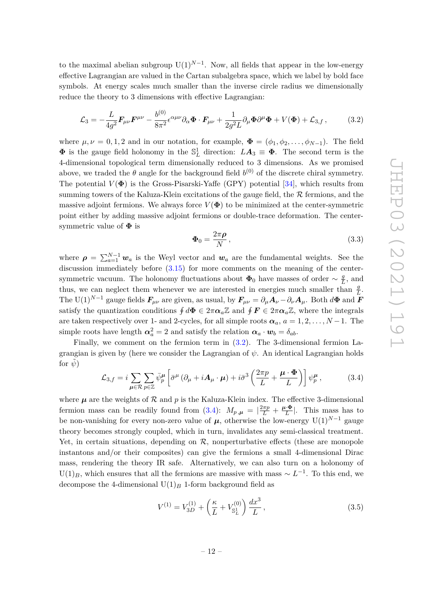to the maximal abelian subgroup  $U(1)^{N-1}$ . Now, all fields that appear in the low-energy effective Lagrangian are valued in the Cartan subalgebra space, which we label by bold face symbols. At energy scales much smaller than the inverse circle radius we dimensionally reduce the theory to 3 dimensions with effective Lagrangian:

<span id="page-13-0"></span>
$$
\mathcal{L}_3 = -\frac{L}{4g^2} \mathbf{F}_{\mu\nu} \mathbf{F}^{\mu\nu} - \frac{b^{(0)}}{8\pi^2} \epsilon^{\alpha\mu\nu} \partial_\alpha \mathbf{\Phi} \cdot \mathbf{F}_{\mu\nu} + \frac{1}{2g^2 L} \partial_\mu \mathbf{\Phi} \partial^\mu \mathbf{\Phi} + V(\mathbf{\Phi}) + \mathcal{L}_{3,f} \,, \tag{3.2}
$$

where  $\mu, \nu = 0, 1, 2$  and in our notation, for example,  $\mathbf{\Phi} = (\phi_1, \phi_2, \dots, \phi_{N-1})$ . The field  $\Phi$  is the gauge field holonomy in the  $\mathbb{S}^1_L$  direction:  $LA_3 \equiv \Phi$ . The second term is the 4-dimensional topological term dimensionally reduced to 3 dimensions. As we promised above, we traded the  $\theta$  angle for the background field  $b^{(0)}$  of the discrete chiral symmetry. The potential  $V(\Phi)$  is the Gross-Pisarski-Yaffe (GPY) potential [\[34\]](#page-28-4), which results from summing towers of the Kaluza-Klein excitations of the gauge field, the  $R$  fermions, and the massive adjoint fermions. We always force  $V(\Phi)$  to be minimized at the center-symmetric point either by adding massive adjoint fermions or double-trace deformation. The centersymmetric value of **Φ** is

$$
\Phi_0 = \frac{2\pi\rho}{N},\tag{3.3}
$$

where  $\rho = \sum_{a=1}^{N-1} w_a$  is the Weyl vector and  $w_a$  are the fundamental weights. See the discussion immediately before [\(3.15\)](#page-16-0) for more comments on the meaning of the centersymmetric vacuum. The holonomy fluctuations about  $\Phi_0$  have masses of order  $\sim \frac{g}{l}$  $\frac{g}{L}$ , and thus, we can neglect them whenever we are interested in energies much smaller than  $\frac{g}{L}$ . The U(1)<sup>*N*−1</sup> gauge fields  $\mathbf{F}_{\mu\nu}$  are given, as usual, by  $\mathbf{F}_{\mu\nu} = \partial_{\mu} \mathbf{A}_{\nu} - \partial_{\nu} \mathbf{A}_{\mu}$ . Both  $d\Phi$  and  $\mathbf{F}_{\mu\nu}$ satisfy the quantization conditions  $\oint d\Phi \in 2\pi \alpha_a \mathbb{Z}$  and  $\oint \mathbf{F} \in 2\pi \alpha_a \mathbb{Z}$ , where the integrals are taken respectively over 1- and 2-cycles, for all simple roots  $\alpha_a$ ,  $a = 1, 2, \ldots, N-1$ . The  $\sinh \alpha_a^2 = 2$  and satisfy the relation  $\alpha_a \cdot w_b = \delta_{ab}$ .

Finally, we comment on the fermion term in [\(3.2\)](#page-13-0). The 3-dimensional fermion Lagrangian is given by (here we consider the Lagrangian of *ψ*. An identical Lagrangian holds for  $\psi$ )

<span id="page-13-1"></span>
$$
\mathcal{L}_{3,f} = i \sum_{\mu \in \mathcal{R}} \sum_{p \in \mathbb{Z}} \bar{\psi}_p^{\mu} \left[ \bar{\sigma}^{\mu} \left( \partial_{\mu} + i \mathbf{A}_{\mu} \cdot \boldsymbol{\mu} \right) + i \bar{\sigma}^3 \left( \frac{2 \pi p}{L} + \frac{\boldsymbol{\mu} \cdot \boldsymbol{\Phi}}{L} \right) \right] \psi_p^{\mu} , \tag{3.4}
$$

where  $\mu$  are the weights of  $\mathcal R$  and  $p$  is the Kaluza-Klein index. The effective 3-dimensional fermion mass can be readily found from [\(3.4\)](#page-13-1):  $M_{p,\mu} = \left| \frac{2\pi p}{L} + \frac{\mu \cdot \Phi}{L} \right|$  $\frac{L \cdot \mathbf{\Phi}}{L}$ . This mass has to be non-vanishing for every non-zero value of  $\mu$ , otherwise the low-energy U(1)<sup>*N*−1</sup> gauge theory becomes strongly coupled, which in turn, invalidates any semi-classical treatment. Yet, in certain situations, depending on  $R$ , nonperturbative effects (these are monopole instantons and/or their composites) can give the fermions a small 4-dimensional Dirac mass, rendering the theory IR safe. Alternatively, we can also turn on a holonomy of  $U(1)_B$ , which ensures that all the fermions are massive with mass  $\sim L^{-1}$ . To this end, we decompose the 4-dimensional  $U(1)_B$  1-form background field as

<span id="page-13-2"></span>
$$
V^{(1)} = V_{3D}^{(1)} + \left(\frac{\kappa}{L} + V_{\mathbb{S}^1_L}^{(0)}\right) \frac{dx^3}{L},\tag{3.5}
$$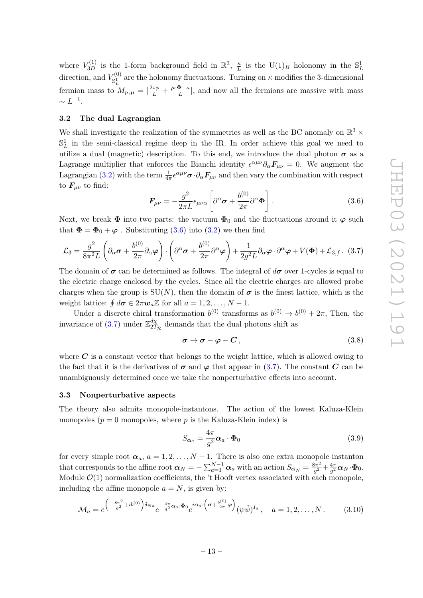where  $V_{3D}^{(1)}$  is the 1-form background field in  $\mathbb{R}^3$ ,  $\frac{\kappa}{L}$  $\frac{\kappa}{L}$  is the  $U(1)_B$  holonomy in the  $\mathbb{S}^1_L$ direction, and  $V_{\text{g1}}^{(0)}$  $\mathcal{S}^{(0)}_{\mathbb{S}^1}$  are the holonomy fluctuations. Turning on  $\kappa$  modifies the 3-dimensional fermion mass to  $M_{p,\mu} = \left| \frac{2\pi p}{L} + \frac{\mu \cdot \Phi - \kappa}{L} \right|$  $\frac{\mathbf{P}-\kappa}{L}$ , and now all the fermions are massive with mass  $\sim L^{-1}$ .

#### <span id="page-14-0"></span>**3.2 The dual Lagrangian**

We shall investigate the realization of the symmetries as well as the BC anomaly on  $\mathbb{R}^3$  ×  $\mathbb{S}^1_L$  in the semi-classical regime deep in the IR. In order achieve this goal we need to utilize a dual (magnetic) description. To this end, we introduce the dual photon  $\sigma$  as a Lagrange multiplier that enforces the Bianchi identity  $\epsilon^{\alpha\mu\nu}\partial_\alpha F_{\mu\nu} = 0$ . We augment the Lagrangian [\(3.2\)](#page-13-0) with the term  $\frac{1}{4\pi} \epsilon^{\alpha\mu\nu} \sigma \cdot \partial_\alpha F_{\mu\nu}$  and then vary the combination with respect to  $\mathbf{F}_{\mu\nu}$  to find:

<span id="page-14-2"></span>
$$
\boldsymbol{F}_{\mu\nu} = -\frac{g^2}{2\pi L} \epsilon_{\mu\nu\alpha} \left[ \partial^{\alpha} \boldsymbol{\sigma} + \frac{b^{(0)}}{2\pi} \partial^{\alpha} \boldsymbol{\Phi} \right]. \tag{3.6}
$$

Next, we break  $\Phi$  into two parts: the vacuum  $\Phi_0$  and the fluctuations around it  $\varphi$  such that  $\Phi = \Phi_0 + \varphi$ . Substituting [\(3.6\)](#page-14-2) into [\(3.2\)](#page-13-0) we then find

<span id="page-14-3"></span>
$$
\mathcal{L}_3 = \frac{g^2}{8\pi^2 L} \left( \partial_\alpha \boldsymbol{\sigma} + \frac{b^{(0)}}{2\pi} \partial_\alpha \boldsymbol{\varphi} \right) \cdot \left( \partial^\alpha \boldsymbol{\sigma} + \frac{b^{(0)}}{2\pi} \partial^\alpha \boldsymbol{\varphi} \right) + \frac{1}{2g^2 L} \partial_\alpha \boldsymbol{\varphi} \cdot \partial^\alpha \boldsymbol{\varphi} + V(\boldsymbol{\Phi}) + \mathcal{L}_{3,f} \,. \tag{3.7}
$$

The domain of  $\sigma$  can be determined as follows. The integral of  $d\sigma$  over 1-cycles is equal to the electric charge enclosed by the cycles. Since all the electric charges are allowed probe charges when the group is  $SU(N)$ , then the domain of  $\sigma$  is the finest lattice, which is the weight lattice:  $\oint d\sigma \in 2\pi w_a \mathbb{Z}$  for all  $a = 1, 2, \dots, N - 1$ .

Under a discrete chiral transformation  $b^{(0)}$  transforms as  $b^{(0)} \to b^{(0)} + 2\pi$ , Then, the invariance of  $(3.7)$  under  $\mathbb{Z}_{27}^{d\chi}$  $\frac{a\chi}{2T_R}$  demands that the dual photons shift as

<span id="page-14-4"></span>
$$
\sigma \to \sigma - \varphi - C \,, \tag{3.8}
$$

where  $C$  is a constant vector that belongs to the weight lattice, which is allowed owing to the fact that it is the derivatives of  $\sigma$  and  $\varphi$  that appear in [\(3.7\)](#page-14-3). The constant *C* can be unambiguously determined once we take the nonperturbative effects into account.

#### <span id="page-14-1"></span>**3.3 Nonperturbative aspects**

The theory also admits monopole-instantons. The action of the lowest Kaluza-Klein monopoles  $(p = 0$  monopoles, where p is the Kaluza-Klein index) is

<span id="page-14-5"></span>
$$
S_{\alpha_a} = \frac{4\pi}{g^2} \alpha_a \cdot \Phi_0 \tag{3.9}
$$

for every simple root  $\alpha_a$ ,  $a = 1, 2, ..., N - 1$ . There is also one extra monopole instanton that corresponds to the affine root  $\alpha_N = -\sum_{a=1}^{N-1} \alpha_a$  with an action  $S_{\alpha_N} = \frac{8\pi^2}{q^2}$  $\frac{3\pi^2}{g^2} + \frac{4\pi}{g^2}$  $\frac{4\pi}{g^2} {\boldsymbol \alpha}_N {\cdot} {\boldsymbol \Phi}_0.$ Module  $\mathcal{O}(1)$  normalization coefficients, the 't Hooft vertex associated with each monopole, including the affine monopole  $a = N$ , is given by:

<span id="page-14-6"></span>
$$
\mathcal{M}_a = e^{\left(-\frac{8\pi^2}{g^2} + ib^{(0)}\right)\delta_{Na}} e^{-\frac{4\pi}{g^2}\alpha_a \cdot \Phi_0} e^{i\alpha_a \cdot \left(\sigma + \frac{b^{(0)}}{2\pi}\varphi\right)} (\psi \tilde{\psi})^{I_a}, \quad a = 1, 2, \dots, N. \tag{3.10}
$$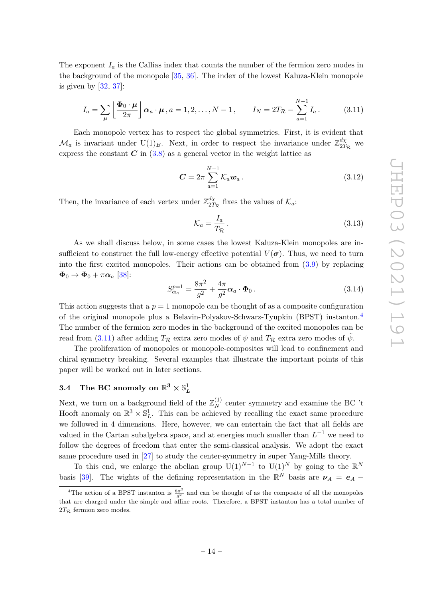The exponent  $I_a$  is the Callias index that counts the number of the fermion zero modes in the background of the monopole [\[35,](#page-28-5) [36\]](#page-28-6). The index of the lowest Kaluza-Klein monopole is given by  $[32, 37]$  $[32, 37]$  $[32, 37]$ :

<span id="page-15-2"></span>
$$
I_a = \sum_{\mu} \left[ \frac{\Phi_0 \cdot \mu}{2\pi} \right] \alpha_a \cdot \mu, a = 1, 2, \dots, N - 1, \qquad I_N = 2T_{\mathcal{R}} - \sum_{a=1}^{N-1} I_a. \tag{3.11}
$$

Each monopole vertex has to respect the global symmetries. First, it is evident that  $\mathcal{M}_a$  is invariant under U(1)<sub>B</sub>. Next, in order to respect the invariance under  $\mathbb{Z}_{27}^{d\chi}$  $\frac{a\chi}{2T_{\mathcal{R}}}$  we express the constant  $C$  in  $(3.8)$  as a general vector in the weight lattice as

<span id="page-15-3"></span>
$$
C = 2\pi \sum_{a=1}^{N-1} \mathcal{K}_a \mathbf{w}_a.
$$
 (3.12)

Then, the invariance of each vertex under  $\mathbb{Z}_{27}^{d\chi}$  $T_{2T_{\mathcal{R}}}^{a\chi}$  fixes the values of  $\mathcal{K}_a$ :

$$
\mathcal{K}_a = \frac{I_a}{T_{\mathcal{R}}} \,. \tag{3.13}
$$

As we shall discuss below, in some cases the lowest Kaluza-Klein monopoles are insufficient to construct the full low-energy effective potential  $V(\sigma)$ . Thus, we need to turn into the first excited monopoles. Their actions can be obtained from [\(3.9\)](#page-14-5) by replacing  $\Phi_0 \rightarrow \Phi_0 + \pi \alpha_a$  [\[38\]](#page-28-8):

<span id="page-15-4"></span>
$$
S_{\alpha_a}^{p=1} = \frac{8\pi^2}{g^2} + \frac{4\pi}{g^2} \alpha_a \cdot \Phi_0.
$$
 (3.14)

This action suggests that a  $p = 1$  monopole can be thought of as a composite configuration of the original monopole plus a Belavin-Polyakov-Schwarz-Tyupkin (BPST) instanton.[4](#page-15-1) The number of the fermion zero modes in the background of the excited monopoles can be read from [\(3.11\)](#page-15-2) after adding  $T_R$  extra zero modes of  $\psi$  and  $T_R$  extra zero modes of  $\tilde{\psi}$ .

The proliferation of monopoles or monopole-composites will lead to confinement and chiral symmetry breaking. Several examples that illustrate the important points of this paper will be worked out in later sections.

# <span id="page-15-0"></span> $3.4$  The BC anomaly on  $\mathbb{R}^3 \times \mathbb{S}_L^1$

Next, we turn on a background field of the  $\mathbb{Z}_N^{(1)}$  center symmetry and examine the BC 't Hooft anomaly on  $\mathbb{R}^3 \times \mathbb{S}_L^1$ . This can be achieved by recalling the exact same procedure we followed in 4 dimensions. Here, however, we can entertain the fact that all fields are valued in the Cartan subalgebra space, and at energies much smaller than  $L^{-1}$  we need to follow the degrees of freedom that enter the semi-classical analysis. We adopt the exact same procedure used in [\[27\]](#page-27-6) to study the center-symmetry in super Yang-Mills theory.

To this end, we enlarge the abelian group  $U(1)^{N-1}$  to  $U(1)^N$  by going to the  $\mathbb{R}^N$ basis [\[39\]](#page-28-9). The wights of the defining representation in the  $\mathbb{R}^N$  basis are  $\nu_A = e_A -$ 

<span id="page-15-1"></span><sup>&</sup>lt;sup>4</sup>The action of a BPST instanton is  $\frac{8\pi^2}{g^2}$  and can be thought of as the composite of all the monopoles that are charged under the simple and affine roots. Therefore, a BPST instanton has a total number of  $2T_R$  fermion zero modes.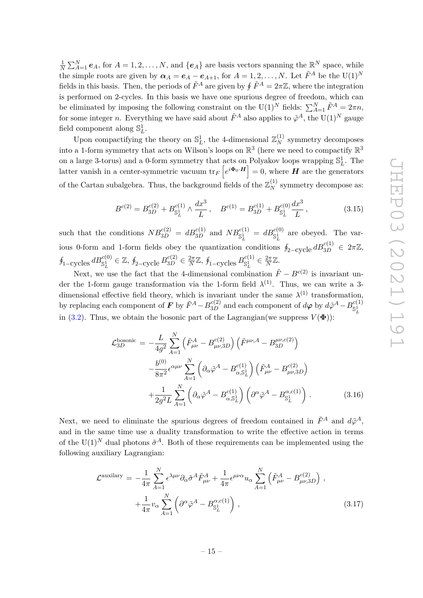1  $\frac{1}{N} \sum_{A=1}^{N} e_A$ , for  $A = 1, 2, ..., N$ , and  $\{e_A\}$  are basis vectors spanning the  $\mathbb{R}^N$  space, while the simple roots are given by  $\alpha_A = e_A - e_{A+1}$ , for  $A = 1, 2, \ldots, N$ . Let  $\tilde{F}^A$  be the U(1)<sup>*N*</sup> fields in this basis. Then, the periods of  $\tilde{F}^A$  are given by  $\oint \tilde{F}^A = 2\pi \mathbb{Z}$ , where the integration is performed on 2-cycles. In this basis we have one spurious degree of freedom, which can be eliminated by imposing the following constraint on the  $U(1)^N$  fields:  $\sum_{A=1}^N \tilde{F}^A = 2\pi n$ , for some integer *n*. Everything we have said about  $\tilde{F}^A$  also applies to  $\tilde{\varphi}^A$ , the  $U(1)^N$  gauge field component along  $\mathbb{S}^1_L$ .

Upon compactifying the theory on  $\mathbb{S}^1_L$ , the 4-dimensional  $\mathbb{Z}_N^{(1)}$  symmetry decomposes into a 1-form symmetry that acts on Wilson's loops on  $\mathbb{R}^3$  (here we need to compactify  $\mathbb{R}^3$ on a large 3-torus) and a 0-form symmetry that acts on Polyakov loops wrapping  $\mathbb{S}_L^1$ . The latter vanish in a center-symmetric vacuum  $\text{tr}_F\left[e^{i\boldsymbol{\Phi}_0 \cdot \boldsymbol{H}}\right] = 0$ , where  $\boldsymbol{H}$  are the generators of the Cartan subalgebra. Thus, the background fields of the  $\mathbb{Z}_N^{(1)}$  symmetry decompose as:

<span id="page-16-0"></span>
$$
B^{c(2)} = B_{3D}^{c(2)} + B_{\mathbb{S}_L^1}^{c(1)} \wedge \frac{dx^3}{L}, \quad B^{c(1)} = B_{3D}^{c(1)} + B_{\mathbb{S}_L^1}^{c(0)} \frac{dx^3}{L}, \tag{3.15}
$$

such that the conditions  $NB_{3D}^{c(2)} = dB_{3D}^{c(1)}$  and  $NB_{S_L^1}^{c(1)} = dB_{S_L^1}^{c(0)}$  are obeyed. The various 0-form and 1-form fields obey the quantization conditions  $\oint_{2-\text{cycle}} dB_{3D}^{c(1)} \in 2\pi\mathbb{Z}$ ,  $\oint_{1-\text{cycles}} dB_{\mathcal{S}_L^1}^{c(0)} \in \mathbb{Z}, \ \oint_{2-\text{cycle}} B_{3D}^{c(2)} \in \frac{2\pi}{N}$  $\frac{2\pi}{N}$ ℤ, ∮<sub>1−C</sub>ycles  $B_{\mathbb{S}^1_L}^{c(1)}$  $\frac{c(1)}{\mathbb{S}^1_L} \in \frac{2\pi}{N}$  $\frac{2\pi}{N} \mathbb{Z}$ .

Next, we use the fact that the 4-dimensional combination  $\tilde{F} - B^{c(2)}$  is invariant under the 1-form gauge transformation via the 1-form field  $\lambda^{(1)}$ . Thus, we can write a 3dimensional effective field theory, which is invariant under the same  $\lambda^{(1)}$  transformation, by replacing each component of  $\bm{F}$  by  $\tilde{F}^A - B_{3D}^{c(2)}$  and each component of  $d\bm{\varphi}$  by  $d\tilde{\varphi}^A - B_{S_x^1}^{c(1)}$  $\mathbb{S}^1_L$ in [\(3.2\)](#page-13-0). Thus, we obtain the bosonic part of the Lagrangian(we suppress  $V(\Phi)$ ):

<span id="page-16-1"></span>
$$
\mathcal{L}_{3D}^{\text{bosonic}} = -\frac{L}{4g^2} \sum_{A=1}^{N} \left( \tilde{F}_{\mu\nu}^{A} - B_{\mu\nu,3D}^{c(2)} \right) \left( \tilde{F}^{\mu\nu,A} - B_{3D}^{\mu\nu,c(2)} \right) \n- \frac{b^{(0)}}{8\pi^2} \epsilon^{\alpha\mu\nu} \sum_{A=1}^{N} \left( \partial_{\alpha}\tilde{\varphi}^{A} - B_{\alpha,\mathbb{S}_{L}^{1}}^{c(1)} \right) \left( \tilde{F}_{\mu\nu}^{A} - B_{\mu\nu,3D}^{c(2)} \right) \n+ \frac{1}{2g^2 L} \sum_{A=1}^{N} \left( \partial_{\alpha}\tilde{\varphi}^{A} - B_{\alpha,\mathbb{S}_{L}^{1}}^{c(1)} \right) \left( \partial^{\alpha}\tilde{\varphi}^{A} - B_{\mathbb{S}_{L}^{1}}^{a,c(1)} \right) .
$$
\n(3.16)

Next, we need to eliminate the spurious degrees of freedom contained in  $\tilde{F}^A$  and  $d\tilde{\varphi}^A$ , and in the same time use a duality transformation to write the effective action in terms of the  $U(1)^N$  dual photons  $\tilde{\sigma}^A$ . Both of these requirements can be implemented using the following auxiliary Lagrangian:

$$
\mathcal{L}^{\text{auxilary}} = -\frac{1}{4\pi} \sum_{A=1}^{N} \epsilon^{\lambda\mu\nu} \partial_{\alpha} \tilde{\sigma}^{A} \tilde{F}_{\mu\nu}^{A} + \frac{1}{4\pi} \epsilon^{\mu\nu\alpha} u_{\alpha} \sum_{A=1}^{N} \left( \tilde{F}_{\mu\nu}^{A} - B_{\mu\nu,3D}^{c(2)} \right) ,
$$
  
 
$$
+ \frac{1}{4\pi} v_{\alpha} \sum_{A=1}^{N} \left( \partial^{\alpha} \tilde{\varphi}^{A} - B_{\mathbb{S}_{L}^{1}}^{\alpha, c(1)} \right) , \qquad (3.17)
$$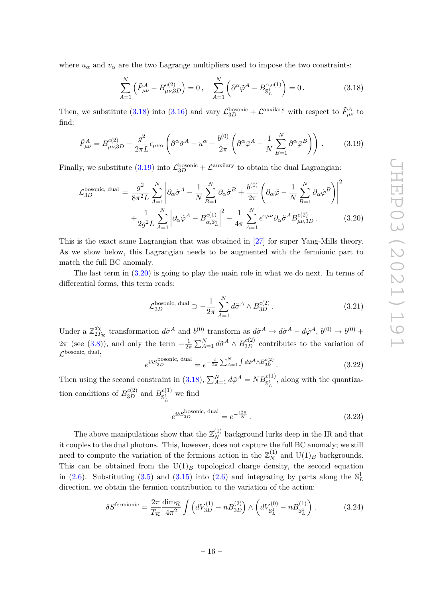where  $u_{\alpha}$  and  $v_{\alpha}$  are the two Lagrange multipliers used to impose the two constraints:

<span id="page-17-0"></span>
$$
\sum_{A=1}^{N} \left( \tilde{F}_{\mu\nu}^{A} - B_{\mu\nu,3D}^{c(2)} \right) = 0, \quad \sum_{A=1}^{N} \left( \partial^{\alpha} \tilde{\varphi}^{A} - B_{\mathbb{S}_{L}^{1}}^{\alpha,c(1)} \right) = 0.
$$
\n(3.18)

Then, we substitute [\(3.18\)](#page-17-0) into [\(3.16\)](#page-16-1) and vary  $\mathcal{L}_{3D}^{\text{bosonic}} + \mathcal{L}^{\text{auxilary}}$  with respect to  $\tilde{F}^A_{\mu\nu}$  to find:

<span id="page-17-1"></span>
$$
\tilde{F}^{A}_{\mu\nu} = B^{c(2)}_{\mu\nu,3D} - \frac{g^2}{2\pi L} \epsilon_{\mu\nu\alpha} \left( \partial^{\alpha}\tilde{\sigma}^A - u^{\alpha} + \frac{b^{(0)}}{2\pi} \left( \partial^{\alpha}\tilde{\varphi}^A - \frac{1}{N} \sum_{B=1}^N \partial^{\alpha}\tilde{\varphi}^B \right) \right). \tag{3.19}
$$

Finally, we substitute  $(3.19)$  into  $\mathcal{L}_{3D}^{\text{bosonic}} + \mathcal{L}^{\text{auxilary}}$  to obtain the dual Lagrangian:

<span id="page-17-2"></span>
$$
\mathcal{L}_{3D}^{\text{bosonic, dual}} = \frac{g^2}{8\pi^2 L} \sum_{A=1}^{N} \left| \partial_{\alpha} \tilde{\sigma}^A - \frac{1}{N} \sum_{B=1}^{N} \partial_{\alpha} \tilde{\sigma}^B + \frac{b^{(0)}}{2\pi} \left( \partial_{\alpha} \tilde{\varphi} - \frac{1}{N} \sum_{B=1}^{N} \partial_{\alpha} \tilde{\varphi}^B \right) \right|^2
$$

$$
+ \frac{1}{2g^2 L} \sum_{A=1}^{N} \left| \partial_{\alpha} \tilde{\varphi}^A - B_{\alpha, \mathbb{S}_L^1}^{c(1)} \right|^2 - \frac{1}{4\pi} \sum_{A=1}^{N} \epsilon^{\alpha \mu \nu} \partial_{\alpha} \tilde{\sigma}^A B_{\mu \nu, 3D}^{c(2)}.
$$
(3.20)

This is the exact same Lagrangian that was obtained in [\[27\]](#page-27-6) for super Yang-Mills theory. As we show below, this Lagrangian needs to be augmented with the fermionic part to match the full BC anomaly.

The last term in [\(3.20\)](#page-17-2) is going to play the main role in what we do next. In terms of differential forms, this term reads:

<span id="page-17-3"></span>
$$
\mathcal{L}_{3D}^{\text{bosonic, dual}} \supset -\frac{1}{2\pi} \sum_{A=1}^{N} d\tilde{\sigma}^A \wedge B_{3D}^{c(2)}.
$$
 (3.21)

Under a  $\mathbb{Z}_{27}^{d\chi}$  $\frac{d\chi}{2T_R}$  transformation  $d\tilde{\sigma}^A$  and  $b^{(0)}$  transform as  $d\tilde{\sigma}^A \to d\tilde{\sigma}^A - d\tilde{\varphi}^A$ ,  $b^{(0)} \to b^{(0)} +$  $2\pi$  (see [\(3.8\)](#page-14-4)), and only the term  $-\frac{1}{24}$  $\frac{1}{2\pi} \sum_{A=1}^{N} d\tilde{\sigma}^{A} \wedge B_{3D}^{c(2)}$  contributes to the variation of  $\mathcal{L}^{\text{bosonic, dual}}$ : *iδS*bosonic, dual *c*(2)

$$
e^{i\delta S_{3D}^{\text{bosonic, dual}}} = e^{-\frac{i}{2\pi} \sum_{A=1}^{N} \int d\tilde{\varphi}^{A} \wedge B_{3D}^{c(2)}}.
$$
 (3.22)

Then using the second constraint in [\(3.18\)](#page-17-0),  $\sum_{A=1}^{N} d\tilde{\varphi}^{A} = NB_{\mathbb{S}^1_L}^{c(1)}$ , along with the quantization conditions of  $B_{3D}^{c(2)}$  and  $B_{\mathbb{S}^1_+}^{c(1)}$  $\mathbb{S}^1_L$  we find

$$
e^{i\delta S_{3D}^{\text{bosonic, dual}}} = e^{-\frac{i2\pi}{N}}.
$$
\n(3.23)

The above manipulations show that the  $\mathbb{Z}_N^{(1)}$  background lurks deep in the IR and that it couples to the dual photons. This, however, does not capture the full BC anomaly; we still need to compute the variation of the fermions action in the  $\mathbb{Z}_N^{(1)}$  and  $\mathrm{U}(1)_B$  backgrounds. This can be obtained from the  $U(1)_B$  topological charge density, the second equation in [\(2.6\)](#page-8-3). Substituting [\(3.5\)](#page-13-2) and [\(3.15\)](#page-16-0) into (2.6) and integrating by parts along the  $\mathbb{S}^1_L$ direction, we obtain the fermion contribution to the variation of the action:

$$
\delta S^{\text{fermionic}} = \frac{2\pi}{T_{\mathcal{R}}} \frac{\dim_{\mathcal{R}}}{4\pi^2} \int \left( dV_{3D}^{(1)} - nB_{3D}^{(2)} \right) \wedge \left( dV_{\mathbb{S}_L^1}^{(0)} - nB_{\mathbb{S}_L^1}^{(1)} \right) . \tag{3.24}
$$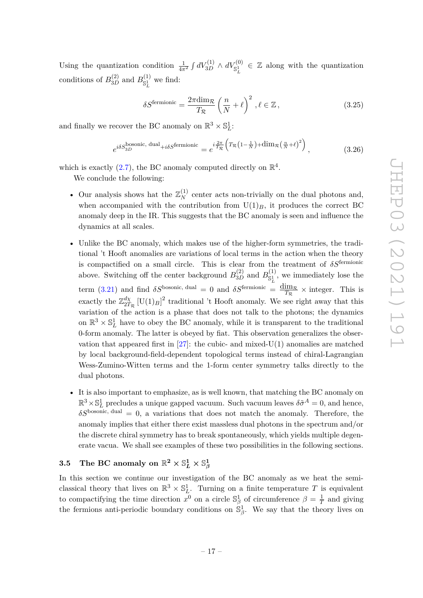Using the quantization condition  $\frac{1}{4\pi^2} \int dV_{3D}^{(1)} \wedge dV_{\mathbb{S}^1_L}^{(0)} \in \mathbb{Z}$  along with the quantization conditions of  $B_{3D}^{(2)}$  and  $B_{\mathbb{S}^1_\tau}^{(1)}$  $\int_{\mathbb{S}_L^1}^{(1)}$  we find:

<span id="page-18-1"></span>
$$
\delta S^{\text{fermionic}} = \frac{2\pi \dim \mathcal{R}}{T_{\mathcal{R}}} \left(\frac{n}{N} + \ell\right)^2, \ell \in \mathbb{Z},\tag{3.25}
$$

and finally we recover the BC anomaly on  $\mathbb{R}^3 \times \mathbb{S}^1_L$ :

<span id="page-18-2"></span>
$$
e^{i\delta S_{3D}^{\text{bosonic, dual}} + i\delta S^{\text{fermionic}}} = e^{i\frac{2\pi}{T_{\mathcal{R}}}\left(T_{\mathcal{R}}\left(1 - \frac{1}{N}\right) + \dim_{\mathcal{R}}\left(\frac{n}{N} + \ell\right)^2\right)},\tag{3.26}
$$

which is exactly [\(2.7\)](#page-8-4), the BC anomaly computed directly on  $\mathbb{R}^4$ .

We conclude the following:

- Our analysis shows hat the  $\mathbb{Z}_N^{(1)}$  center acts non-trivially on the dual photons and, when accompanied with the contribution from  $U(1)_B$ , it produces the correct BC anomaly deep in the IR. This suggests that the BC anomaly is seen and influence the dynamics at all scales.
- Unlike the BC anomaly, which makes use of the higher-form symmetries, the traditional 't Hooft anomalies are variations of local terms in the action when the theory is compactified on a small circle. This is clear from the treatment of *δS*fermionic above. Switching off the center background  $B_{3D}^{(2)}$  and  $B_{\mathbb{S}^1_7}^{(1)}$  $\mathbb{S}^{(1)}$ , we immediately lose the term [\(3.21\)](#page-17-3) and find *δS*<sup>bosonic, dual = 0 and *δS*<sup>fermionic</sup> =  $\frac{d_{L}}{T_{c}}$ </sup>  $\frac{\text{Im} \mathcal{R}}{T_{\mathcal{R}}} \times \text{integer.}$  This is exactly the  $\mathbb{Z}_{27}^{d\chi}$  $\frac{d\chi}{2T_R}$  [U(1)<sub>*B*</sub>]<sup>2</sup> traditional 't Hooft anomaly. We see right away that this variation of the action is a phase that does not talk to the photons; the dynamics on  $\mathbb{R}^3 \times \mathbb{S}^1_L$  have to obey the BC anomaly, while it is transparent to the traditional 0-form anomaly. The latter is obeyed by fiat. This observation generalizes the observation that appeared first in  $[27]$ : the cubic- and mixed-U(1) anomalies are matched by local background-field-dependent topological terms instead of chiral-Lagrangian Wess-Zumino-Witten terms and the 1-form center symmetry talks directly to the dual photons.
- It is also important to emphasize, as is well known, that matching the BC anomaly on  $\mathbb{R}^3 \times \mathbb{S}^1_L$  precludes a unique gapped vacuum. Such vacuum leaves  $\delta \tilde{\sigma}^A = 0$ , and hence,  $\delta S^{\text{bosonic, dual}} = 0$ , a variations that does not match the anomaly. Therefore, the anomaly implies that either there exist massless dual photons in the spectrum and/or the discrete chiral symmetry has to break spontaneously, which yields multiple degenerate vacua. We shall see examples of these two possibilities in the following sections.

# <span id="page-18-0"></span> $\textbf{3.5} \quad \textbf{The BC anomaly on} \; \mathbb{R}^2 \times \mathbb{S}^1_L \times \mathbb{S}^1_\beta$

In this section we continue our investigation of the BC anomaly as we heat the semiclassical theory that lives on  $\mathbb{R}^3 \times \mathbb{S}_L^1$ . Turning on a finite temperature *T* is equivalent to compactifying the time direction  $x^0$  on a circle  $\mathbb{S}^1_\beta$  of circumference  $\beta = \frac{1}{7}$  $\frac{1}{T}$  and giving the fermions anti-periodic boundary conditions on  $\mathbb{S}_{\beta}^1$ . We say that the theory lives on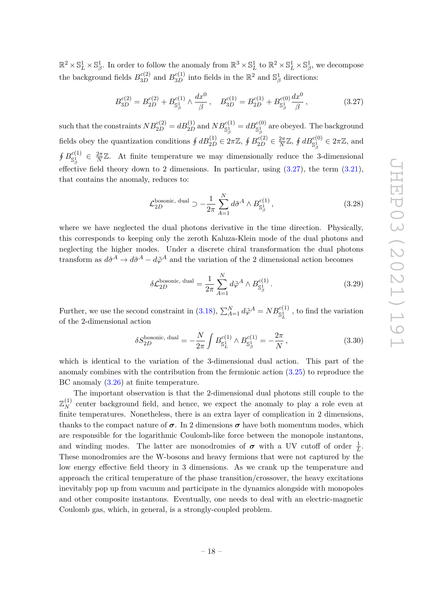$\mathbb{R}^2 \times \mathbb{S}_L^1 \times \mathbb{S}_\beta^1$ . In order to follow the anomaly from  $\mathbb{R}^3 \times \mathbb{S}_L^1$  to  $\mathbb{R}^2 \times \mathbb{S}_L^1 \times \mathbb{S}_\beta^1$ , we decompose the background fields  $B_{3D}^{c(2)}$  and  $B_{3D}^{c(1)}$  into fields in the  $\mathbb{R}^2$  and  $\mathbb{S}^1_\beta$  directions:

<span id="page-19-0"></span>
$$
B_{3D}^{c(2)} = B_{2D}^{c(2)} + B_{\mathbb{S}_{\beta}^{1}}^{c(1)} \wedge \frac{dx^{0}}{\beta}, \quad B_{3D}^{c(1)} = B_{2D}^{c(1)} + B_{\mathbb{S}_{\beta}^{1}}^{c(0)} \frac{dx^{0}}{\beta}, \tag{3.27}
$$

 $\text{such that the constraints } NB_{2D}^{c(2)} = dB_{2D}^{(1)} \text{ and } NB_{\mathbb{S}^1_\beta}^{c(1)} = dB_{\mathbb{S}^1_\beta}^{c(0)} \text{ are obeyed. The background$ fields obey the quantization conditions  $\oint dB_{2D}^{(1)} \in 2\pi\mathbb{Z}$ ,  $\oint B_{2D}^{c(2)} \in \frac{2\pi}{N}$  $\frac{2\pi}{N}\mathbb{Z}, \oint dB_{\mathbb{S}^1_\beta}^{c(0)} \in 2\pi\mathbb{Z}, \text{ and}$  $\oint B_{\ll 1}^{c(1)}$  $\frac{c(1)}{\mathbb{S}^1_\beta}$   $\in \frac{2\pi}{N}$  $\frac{2\pi}{N}\mathbb{Z}$ . At finite temperature we may dimensionally reduce the 3-dimensional effective field theory down to 2 dimensions. In particular, using  $(3.27)$ , the term  $(3.21)$ , that contains the anomaly, reduces to:

$$
\mathcal{L}_{2D}^{\text{bosonic, dual}} \supset -\frac{1}{2\pi} \sum_{A=1}^{N} d\tilde{\sigma}^A \wedge B_{\mathbb{S}^1_{\beta}}^{c(1)}, \tag{3.28}
$$

where we have neglected the dual photons derivative in the time direction. Physically, this corresponds to keeping only the zeroth Kaluza-Klein mode of the dual photons and neglecting the higher modes. Under a discrete chiral transformation the dual photons transform as  $d\tilde{\sigma}^A \to d\tilde{\sigma}^A - d\tilde{\varphi}^A$  and the variation of the 2 dimensional action becomes

$$
\delta \mathcal{L}_{2D}^{\text{bosonic, dual}} = \frac{1}{2\pi} \sum_{A=1}^{N} d\tilde{\varphi}^A \wedge B_{\mathbb{S}^1_{\beta}}^{c(1)}.
$$
\n(3.29)

Further, we use the second constraint in [\(3.18\)](#page-17-0),  $\sum_{A=1}^{N} d\tilde{\varphi}^{A} = NB_{\mathbb{S}^1_L}^{c(1)}$ , to find the variation of the 2-dimensional action

$$
\delta S_{2D}^{\text{bosonic, dual}} = -\frac{N}{2\pi} \int B_{\mathbb{S}_L^1}^{c(1)} \wedge B_{\mathbb{S}_\beta^1}^{c(1)} = -\frac{2\pi}{N},\tag{3.30}
$$

which is identical to the variation of the 3-dimensional dual action. This part of the anomaly combines with the contribution from the fermionic action [\(3.25\)](#page-18-1) to reproduce the BC anomaly [\(3.26\)](#page-18-2) at finite temperature.

The important observation is that the 2-dimensional dual photons still couple to the  $\mathbb{Z}_N^{(1)}$  center background field, and hence, we expect the anomaly to play a role even at finite temperatures. Nonetheless, there is an extra layer of complication in 2 dimensions, thanks to the compact nature of  $\sigma$ . In 2 dimensions  $\sigma$  have both momentum modes, which are responsible for the logarithmic Coulomb-like force between the monopole instantons, and winding modes. The latter are monodromies of  $\sigma$  with a UV cutoff of order  $\frac{1}{L}$ . These monodromies are the W-bosons and heavy fermions that were not captured by the low energy effective field theory in 3 dimensions. As we crank up the temperature and approach the critical temperature of the phase transition/crossover, the heavy excitations inevitably pop up from vacuum and participate in the dynamics alongside with monopoles and other composite instantons. Eventually, one needs to deal with an electric-magnetic Coulomb gas, which, in general, is a strongly-coupled problem.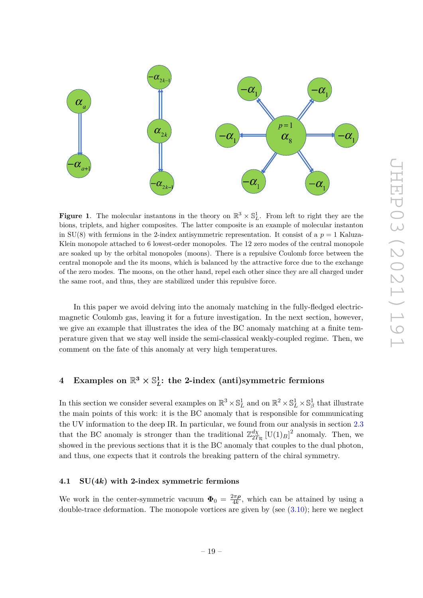

<span id="page-20-2"></span>**Figure 1.** The molecular instantons in the theory on  $\mathbb{R}^3 \times \mathbb{S}_L^1$ . From left to right they are the bions, triplets, and higher composites. The latter composite is an example of molecular instanton in  $SU(8)$  with fermions in the 2-index antisymmetric representation. It consist of a  $p = 1$  Kaluza-Klein monopole attached to 6 lowest-order monopoles. The 12 zero modes of the central monopole are soaked up by the orbital monopoles (moons). There is a repulsive Coulomb force between the central monopole and the its moons, which is balanced by the attractive force due to the exchange of the zero modes. The moons, on the other hand, repel each other since they are all charged under the same root, and thus, they are stabilized under this repulsive force.

In this paper we avoid delving into the anomaly matching in the fully-fledged electricmagnetic Coulomb gas, leaving it for a future investigation. In the next section, however, we give an example that illustrates the idea of the BC anomaly matching at a finite temperature given that we stay well inside the semi-classical weakly-coupled regime. Then, we comment on the fate of this anomaly at very high temperatures.

#### <span id="page-20-0"></span>**4** Examples on  $\mathbb{R}^3 \times \mathbb{S}^1$ *L* **: the 2-index (anti)symmetric fermions**

In this section we consider several examples on  $\mathbb{R}^3 \times \mathbb{S}_L^1$  and on  $\mathbb{R}^2 \times \mathbb{S}_L^1 \times \mathbb{S}_\beta^1$  that illustrate the main points of this work: it is the BC anomaly that is responsible for communicating the UV information to the deep IR. In particular, we found from our analysis in section [2.3](#page-9-0) that the BC anomaly is stronger than the traditional  $\mathbb{Z}_{27}^{d\chi}$  $\frac{d\chi}{2T_R}$  [U(1)<sub>*B*</sub>]<sup>2</sup> anomaly. Then, we showed in the previous sections that it is the BC anomaly that couples to the dual photon, and thus, one expects that it controls the breaking pattern of the chiral symmetry.

#### <span id="page-20-1"></span>**4.1 SU(4***k***) with 2-index symmetric fermions**

We work in the center-symmetric vacuum  $\Phi_0 = \frac{2\pi\rho}{4k}$  $\frac{2\pi\rho}{4k}$ , which can be attained by using a double-trace deformation. The monopole vortices are given by (see  $(3.10)$ ); here we neglect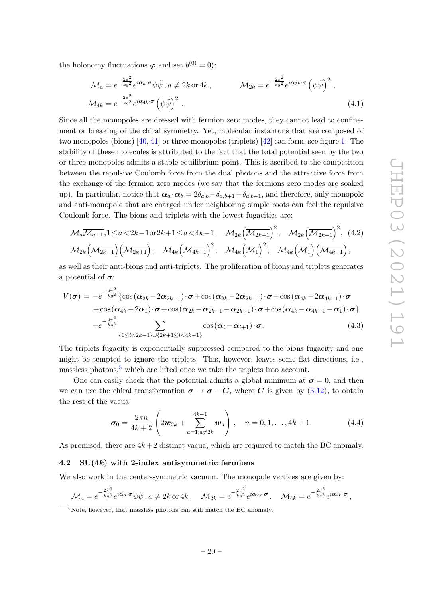the holonomy fluctuations  $\varphi$  and set  $b^{(0)} = 0$ :

$$
\mathcal{M}_{a} = e^{-\frac{2\pi^{2}}{kg^{2}}} e^{i\alpha_{a}\cdot\boldsymbol{\sigma}} \psi \tilde{\psi}, a \neq 2k \text{ or } 4k, \qquad \mathcal{M}_{2k} = e^{-\frac{2\pi^{2}}{kg^{2}}} e^{i\alpha_{2k}\cdot\boldsymbol{\sigma}} \left(\psi \tilde{\psi}\right)^{2},
$$
  

$$
\mathcal{M}_{4k} = e^{-\frac{2\pi^{2}}{kg^{2}}} e^{i\alpha_{4k}\cdot\boldsymbol{\sigma}} \left(\psi \tilde{\psi}\right)^{2}.
$$
 (4.1)

Since all the monopoles are dressed with fermion zero modes, they cannot lead to confinement or breaking of the chiral symmetry. Yet, molecular instantons that are composed of two monopoles (bions) [\[40,](#page-28-10) [41\]](#page-28-11) or three monopoles (triplets) [\[42\]](#page-28-12) can form, see figure [1.](#page-20-2) The stability of these molecules is attributed to the fact that the total potential seen by the two or three monopoles admits a stable equilibrium point. This is ascribed to the competition between the repulsive Coulomb force from the dual photons and the attractive force from the exchange of the fermion zero modes (we say that the fermions zero modes are soaked up). In particular, notice that  $\alpha_a \cdot \alpha_b = 2\delta_{a,b} - \delta_{a,b+1} - \delta_{a,b-1}$ , and therefore, only monopole and anti-monopole that are charged under neighboring simple roots can feel the repulsive Coulomb force. The bions and triplets with the lowest fugacities are:

$$
\mathcal{M}_{a}\overline{\mathcal{M}_{a+1}}, 1 \le a < 2k - 1 \text{ or } 2k + 1 \le a < 4k - 1, \quad \mathcal{M}_{2k}(\overline{\mathcal{M}_{2k-1}})^2, \quad \mathcal{M}_{2k}(\overline{\mathcal{M}_{2k+1}})^2, \quad (4.2)
$$

$$
\mathcal{M}_{2k}(\overline{\mathcal{M}_{2k-1}}) (\overline{\mathcal{M}_{2k+1}}), \quad \mathcal{M}_{4k}(\overline{\mathcal{M}_{4k-1}})^2, \quad \mathcal{M}_{4k}(\overline{\mathcal{M}_1})^2, \quad \mathcal{M}_{4k}(\overline{\mathcal{M}_1}) (\overline{\mathcal{M}_{4k-1}}),
$$

as well as their anti-bions and anti-triplets. The proliferation of bions and triplets generates a potential of *σ*:

<span id="page-21-2"></span>
$$
V(\boldsymbol{\sigma}) = -e^{-\frac{6\pi^2}{kg^2}} \left\{ \cos(\boldsymbol{\alpha}_{2k} - 2\boldsymbol{\alpha}_{2k-1}) \cdot \boldsymbol{\sigma} + \cos(\boldsymbol{\alpha}_{2k} - 2\boldsymbol{\alpha}_{2k+1}) \cdot \boldsymbol{\sigma} + \cos(\boldsymbol{\alpha}_{4k} - 2\boldsymbol{\alpha}_{4k-1}) \cdot \boldsymbol{\sigma} + \cos(\boldsymbol{\alpha}_{4k} - 2\boldsymbol{\alpha}_{1}) \cdot \boldsymbol{\sigma} + \cos(\boldsymbol{\alpha}_{2k} - \boldsymbol{\alpha}_{2k-1} - \boldsymbol{\alpha}_{2k+1}) \cdot \boldsymbol{\sigma} + \cos(\boldsymbol{\alpha}_{4k} - \boldsymbol{\alpha}_{4k-1} - \boldsymbol{\alpha}_{1}) \cdot \boldsymbol{\sigma} \right\}
$$

$$
-e^{-\frac{4\pi^2}{kg^2}} \sum_{\{1 \le i < 2k-1\} \cup \{2k+1 \le i < 4k-1\}} \cos(\boldsymbol{\alpha}_{i} - \boldsymbol{\alpha}_{i+1}) \cdot \boldsymbol{\sigma}. \tag{4.3}
$$

The triplets fugacity is exponentially suppressed compared to the bions fugacity and one might be tempted to ignore the triplets. This, however, leaves some flat directions, i.e., massless photons,  $\frac{5}{5}$  $\frac{5}{5}$  $\frac{5}{5}$  which are lifted once we take the triplets into account.

One can easily check that the potential admits a global minimum at  $\sigma = 0$ , and then we can use the chiral transformation  $\sigma \to \sigma - C$ , where *C* is given by [\(3.12\)](#page-15-3), to obtain the rest of the vacua:

$$
\boldsymbol{\sigma}_0 = \frac{2\pi n}{4k+2} \left( 2\boldsymbol{w}_{2k} + \sum_{a=1, a\neq 2k}^{4k-1} \boldsymbol{w}_a \right), \quad n = 0, 1, \dots, 4k+1. \tag{4.4}
$$

As promised, there are  $4k+2$  distinct vacua, which are required to match the BC anomaly.

#### <span id="page-21-0"></span>**4.2 SU(4***k***) with 2-index antisymmetric fermions**

We also work in the center-symmetric vacuum. The monopole vertices are given by:

$$
\mathcal{M}_a = e^{-\frac{2\pi^2}{kg^2}} e^{i\pmb{\alpha}_a\cdot\pmb{\sigma}} \psi \tilde{\psi} \,, a \neq 2k \, \text{or} \, 4k \,, \quad \mathcal{M}_{2k} = e^{-\frac{2\pi^2}{kg^2}} e^{i\pmb{\alpha}_{2k}\cdot\pmb{\sigma}} \,, \quad \mathcal{M}_{4k} = e^{-\frac{2\pi^2}{kg^2}} e^{i\pmb{\alpha}_{4k}\cdot\pmb{\sigma}} \,,
$$

<span id="page-21-1"></span> $5$ Note, however, that massless photons can still match the BC anomaly.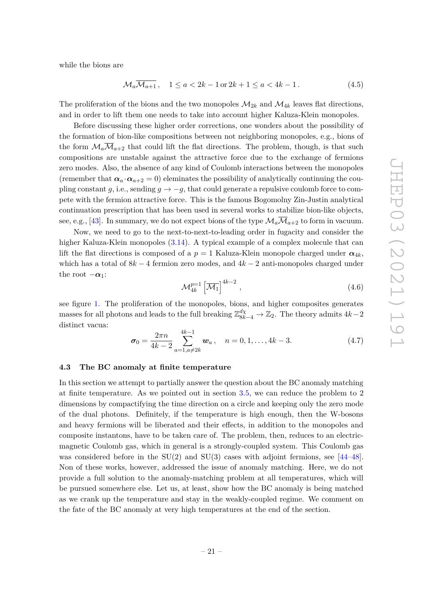while the bions are

$$
\mathcal{M}_a \overline{\mathcal{M}_{a+1}}, \quad 1 \le a < 2k - 1 \text{ or } 2k + 1 \le a < 4k - 1. \tag{4.5}
$$

The proliferation of the bions and the two monopoles  $\mathcal{M}_{2k}$  and  $\mathcal{M}_{4k}$  leaves flat directions, and in order to lift them one needs to take into account higher Kaluza-Klein monopoles.

Before discussing these higher order corrections, one wonders about the possibility of the formation of bion-like compositions between not neighboring monopoles, e.g., bions of the form  $\mathcal{M}_a\overline{\mathcal{M}}_{a+2}$  that could lift the flat directions. The problem, though, is that such compositions are unstable against the attractive force due to the exchange of fermions zero modes. Also, the absence of any kind of Coulomb interactions between the monopoles (remember that  $\alpha_a \cdot \alpha_{a+2} = 0$ ) eleminates the possibility of analytically continuing the coupling constant *g*, i.e., sending  $g \to -g$ , that could generate a repulsive coulomb force to compete with the fermion attractive force. This is the famous Bogomolny Zin-Justin analytical continuation prescription that has been used in several works to stabilize bion-like objects, see, e.g., [\[43\]](#page-28-13). In summary, we do not expect bions of the type  $\mathcal{M}_a\overline{\mathcal{M}}_{a+2}$  to form in vacuum.

Now, we need to go to the next-to-next-to-leading order in fugacity and consider the higher Kaluza-Klein monopoles [\(3.14\)](#page-15-4). A typical example of a complex molecule that can lift the flat directions is composed of a  $p = 1$  Kaluza-Klein monopole charged under  $\alpha_{4k}$ , which has a total of  $8k - 4$  fermion zero modes, and  $4k - 2$  anti-monopoles charged under the root  $-\alpha_1$ :

$$
\mathcal{M}_{4k}^{p=1} \left[ \overline{\mathcal{M}_1} \right]^{4k-2}, \tag{4.6}
$$

see figure [1.](#page-20-2) The proliferation of the monopoles, bions, and higher composites generates masses for all photons and leads to the full breaking  $\mathbb{Z}_{8k-4}^{d\chi} \to \mathbb{Z}_2$ . The theory admits  $4k-2$ distinct vacua:

$$
\boldsymbol{\sigma}_0 = \frac{2\pi n}{4k-2} \sum_{a=1, a\neq 2k}^{4k-1} \boldsymbol{w}_a, \quad n = 0, 1, \dots, 4k-3. \tag{4.7}
$$

#### <span id="page-22-0"></span>**4.3 The BC anomaly at finite temperature**

In this section we attempt to partially answer the question about the BC anomaly matching at finite temperature. As we pointed out in section [3.5,](#page-18-0) we can reduce the problem to 2 dimensions by compactifying the time direction on a circle and keeping only the zero mode of the dual photons. Definitely, if the temperature is high enough, then the W-bosons and heavy fermions will be liberated and their effects, in addition to the monopoles and composite instantons, have to be taken care of. The problem, then, reduces to an electricmagnetic Coulomb gas, which in general is a strongly-coupled system. This Coulomb gas was considered before in the  $SU(2)$  and  $SU(3)$  cases with adjoint fermions, see [\[44–](#page-28-14)[48\]](#page-28-15). Non of these works, however, addressed the issue of anomaly matching. Here, we do not provide a full solution to the anomaly-matching problem at all temperatures, which will be pursued somewhere else. Let us, at least, show how the BC anomaly is being matched as we crank up the temperature and stay in the weakly-coupled regime. We comment on the fate of the BC anomaly at very high temperatures at the end of the section.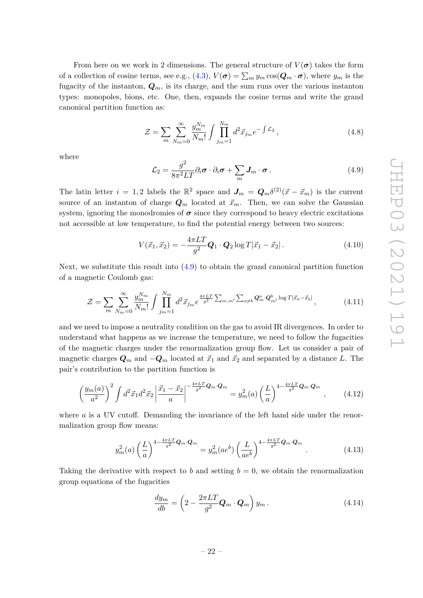From here on we work in 2 dimensions. The general structure of  $V(\sigma)$  takes the form of a collection of cosine terms, see e.g.,  $(4.3)$ ,  $V(\sigma) = \sum_m y_m \cos(Q_m \cdot \sigma)$ , where  $y_m$  is the fugacity of the instanton,  $Q_m$ , is its charge, and the sum runs over the various instanton types: monopoles, bions, etc. One, then, expands the cosine terms and write the grand canonical partition function as:

$$
\mathcal{Z} = \sum_{m} \sum_{N_{m}=0}^{\infty} \frac{y_{m}^{N_{m}}}{N_{m}!} \int \prod_{j_{m}=1}^{N_{m}} d^{2} \vec{x}_{j_{m}} e^{-\int \mathcal{L}_{2}}, \qquad (4.8)
$$

where

<span id="page-23-0"></span>
$$
\mathcal{L}_2 = \frac{g^2}{8\pi^2 LT} \partial_i \boldsymbol{\sigma} \cdot \partial_i \boldsymbol{\sigma} + \sum_m \boldsymbol{J}_m \cdot \boldsymbol{\sigma} \,.
$$
\n(4.9)

The latin letter  $i = 1, 2$  labels the  $\mathbb{R}^2$  space and  $J_m = Q_m \delta^{(2)}(\vec{x} - \vec{x}_m)$  is the current source of an instanton of charge  $Q_m$  located at  $\vec{x}_m$ . Then, we can solve the Gaussian system, ignoring the monodromies of  $\sigma$  since they correspond to heavy electric excitations not accessible at low temperature, to find the potential energy between two sources:

$$
V(\vec{x}_1, \vec{x}_2) = -\frac{4\pi LT}{g^2} \mathbf{Q}_1 \cdot \mathbf{Q}_2 \log T |\vec{x}_1 - \vec{x}_2|.
$$
 (4.10)

Next, we substitute this result into [\(4.9\)](#page-23-0) to obtain the grand canonical partition function of a magnetic Coulomb gas:

$$
\mathcal{Z} = \sum_{m} \sum_{N_{m}=0}^{\infty} \frac{y_{m}^{N_{m}}}{N_{m}!} \int \prod_{j_{m}=1}^{N_{m}} d^{2} \vec{x}_{j_{m}} e^{\frac{4\pi LT}{g^{2}}} \sum_{m,m'} \sum_{a \neq b} Q_{m}^{a} \cdot Q_{m'}^{b} \log T |\vec{x}_{a} - \vec{x}_{b}|,
$$
(4.11)

and we need to impose a neutrality condition on the gas to avoid IR divergences. In order to understand what happens as we increase the temperature, we need to follow the fugacities of the magnetic charges under the renormalization group flow. Let us consider a pair of magnetic charges  $Q_m$  and  $-Q_m$  located at  $\vec{x}_1$  and  $\vec{x}_2$  and separated by a distance *L*. The pair's contribution to the partition function is

$$
\left(\frac{y_m(a)}{a^2}\right)^2 \int d^2 \vec{x}_1 d^2 \vec{x}_2 \left|\frac{\vec{x}_1 - \vec{x}_2}{a}\right|^{-\frac{4\pi LT}{g^2} \mathbf{Q}_m \cdot \mathbf{Q}_m} = y_m^2(a) \left(\frac{L}{a}\right)^{4 - \frac{4\pi LT}{g^2} \mathbf{Q}_m \cdot \mathbf{Q}_m}, \qquad (4.12)
$$

where *a* is a UV cutoff. Demanding the invariance of the left hand side under the renormalization group flow means:

$$
y_m^2(a) \left(\frac{L}{a}\right)^{4 - \frac{4\pi LT}{g^2} \mathbf{Q}_m \cdot \mathbf{Q}_m} = y_m^2(ae^b) \left(\frac{L}{ae^b}\right)^{4 - \frac{4\pi LT}{g^2} \mathbf{Q}_m \cdot \mathbf{Q}_m}.
$$
 (4.13)

Taking the derivative with respect to *b* and setting  $b = 0$ , we obtain the renormalization group equations of the fugacities

<span id="page-23-1"></span>
$$
\frac{dy_m}{db} = \left(2 - \frac{2\pi LT}{g^2} \mathbf{Q}_m \cdot \mathbf{Q}_m\right) y_m.
$$
\n(4.14)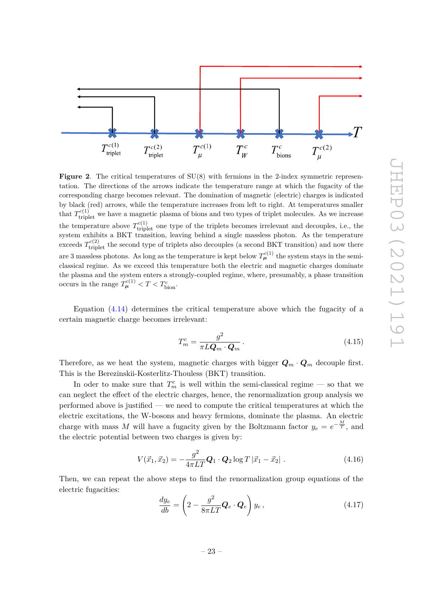

<span id="page-24-0"></span>**Figure 2.** The critical temperatures of SU(8) with fermions in the 2-index symmetric representation. The directions of the arrows indicate the temperature range at which the fugacity of the corresponding charge becomes relevant. The domination of magnetic (electric) charges is indicated by black (red) arrows, while the temperature increases from left to right. At temperatures smaller that  $T_{\text{triplet}}^{c(1)}$  we have a magnetic plasma of bions and two types of triplet molecules. As we increase the temperature above  $T_{\text{triplet}}^{c(1)}$  one type of the triplets becomes irrelevant and decouples, i.e., the system exhibits a BKT transition, leaving behind a single massless photon. As the temperature exceeds  $T_{\text{triplet}}^{c(2)}$  the second type of triplets also decouples (a second BKT transition) and now there are 3 massless photons. As long as the temperature is kept below  $T_{\mu}^{c(1)}$  the system stays in the semiclassical regime. As we exceed this temperature both the electric and magnetic charges dominate the plasma and the system enters a strongly-coupled regime, where, presumably, a phase transition occurs in the range  $T_{\mu}^{c(1)} < T < T_{\text{bion}}^c$ .

Equation [\(4.14\)](#page-23-1) determines the critical temperature above which the fugacity of a certain magnetic charge becomes irrelevant:

$$
T_m^c = \frac{g^2}{\pi L \mathbf{Q}_m \cdot \mathbf{Q}_m}.
$$
\n(4.15)

Therefore, as we heat the system, magnetic charges with bigger  $Q_m \cdot Q_m$  decouple first. This is the Berezinskii-Kosterlitz-Thouless (BKT) transition.

In oder to make sure that  $T_m^c$  is well within the semi-classical regime — so that we can neglect the effect of the electric charges, hence, the renormalization group analysis we performed above is justified — we need to compute the critical temperatures at which the electric excitations, the W-bosons and heavy fermions, dominate the plasma. An electric charge with mass *M* will have a fugacity given by the Boltzmann factor  $y_e = e^{-\frac{M}{T}}$ , and the electric potential between two charges is given by:

$$
V(\vec{x}_1, \vec{x}_2) = -\frac{g^2}{4\pi LT} \mathbf{Q}_1 \cdot \mathbf{Q}_2 \log T |\vec{x}_1 - \vec{x}_2| \ . \tag{4.16}
$$

Then, we can repeat the above steps to find the renormalization group equations of the electric fugacities:

$$
\frac{dy_e}{db} = \left(2 - \frac{g^2}{8\pi LT} \mathbf{Q}_e \cdot \mathbf{Q}_e\right) y_e, \tag{4.17}
$$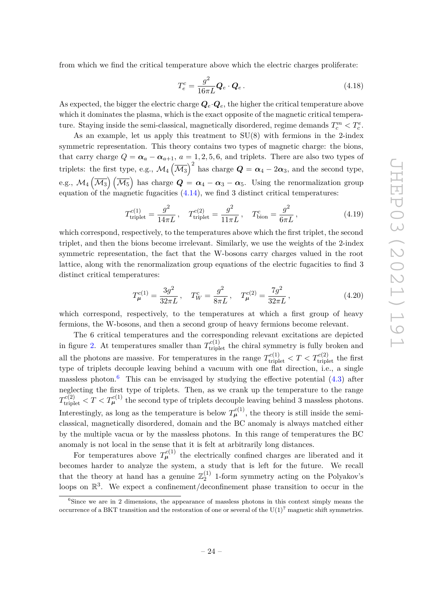from which we find the critical temperature above which the electric charges proliferate:

$$
T_e^c = \frac{g^2}{16\pi L} \mathbf{Q}_e \cdot \mathbf{Q}_e \,. \tag{4.18}
$$

As expected, the bigger the electric charge  $Q_e \cdot Q_e$ , the higher the critical temperature above which it dominates the plasma, which is the exact opposite of the magnetic critical temperature. Staying inside the semi-classical, magnetically disordered, regime demands  $T_c^m < T_c^e$ .

As an example, let us apply this treatment to SU(8) with fermions in the 2-index symmetric representation. This theory contains two types of magnetic charge: the bions, that carry charge  $Q = \alpha_a - \alpha_{a+1}$ ,  $a = 1, 2, 5, 6$ , and triplets. There are also two types of triplets: the first type, e.g.,  $\mathcal{M}_4(\overline{\mathcal{M}_3})^2$  has charge  $\mathbf{Q} = \boldsymbol{\alpha}_4 - 2\boldsymbol{\alpha}_3$ , and the second type, e.g.,  $\mathcal{M}_4\left(\overline{\mathcal{M}_3}\right)\left(\overline{\mathcal{M}_5}\right)$  has charge  $\boldsymbol{Q}=\boldsymbol{\alpha}_4-\boldsymbol{\alpha}_3-\boldsymbol{\alpha}_5$ . Using the renormalization group equation of the magnetic fugacities [\(4.14\)](#page-23-1), we find 3 distinct critical temperatures:

$$
T_{\text{triplet}}^{c(1)} = \frac{g^2}{14\pi L}, \quad T_{\text{triplet}}^{c(2)} = \frac{g^2}{11\pi L}, \quad T_{\text{bion}}^c = \frac{g^2}{6\pi L}, \tag{4.19}
$$

which correspond, respectively, to the temperatures above which the first triplet, the second triplet, and then the bions become irrelevant. Similarly, we use the weights of the 2-index symmetric representation, the fact that the W-bosons carry charges valued in the root lattice, along with the renormalization group equations of the electric fugacities to find 3 distinct critical temperatures:

$$
T_{\mu}^{c(1)} = \frac{3g^2}{32\pi L}, \quad T_W^c = \frac{g^2}{8\pi L}, \quad T_{\mu}^{c(2)} = \frac{7g^2}{32\pi L}, \tag{4.20}
$$

which correspond, respectively, to the temperatures at which a first group of heavy fermions, the W-bosons, and then a second group of heavy fermions become relevant.

The 6 critical temperatures and the corresponding relevant excitations are depicted in figure [2.](#page-24-0) At temperatures smaller than  $T_{\text{triplet}}^{c(1)}$  the chiral symmetry is fully broken and all the photons are massive. For temperatures in the range  $T_{\text{triplet}}^{c(1)} < T < T_{\text{triplet}}^{c(2)}$  the first type of triplets decouple leaving behind a vacuum with one flat direction, i.e., a single massless photon.<sup>[6](#page-25-0)</sup> This can be envisaged by studying the effective potential  $(4.3)$  after neglecting the first type of triplets. Then, as we crank up the temperature to the range  $T_{\text{triplet}}^{c(2)} < T < T_{\mu}^{c(1)}$  the second type of triplets decouple leaving behind 3 massless photons. Interestingly, as long as the temperature is below  $T_{\mu}^{c(1)}$ , the theory is still inside the semiclassical, magnetically disordered, domain and the BC anomaly is always matched either by the multiple vacua or by the massless photons. In this range of temperatures the BC anomaly is not local in the sense that it is felt at arbitrarily long distances.

For temperatures above  $T_{\mu}^{c(1)}$  the electrically confined charges are liberated and it becomes harder to analyze the system, a study that is left for the future. We recall that the theory at hand has a genuine  $\mathbb{Z}_2^{(1)}$  $_2^{(1)}$  1-form symmetry acting on the Polyakov's loops on  $\mathbb{R}^3$ . We expect a confinement/deconfinement phase transition to occur in the

<span id="page-25-0"></span> ${}^{6}$ Since we are in 2 dimensions, the appearance of massless photons in this context simply means the occurrence of a BKT transition and the restoration of one or several of the  $U(1)^7$  magnetic shift symmetries.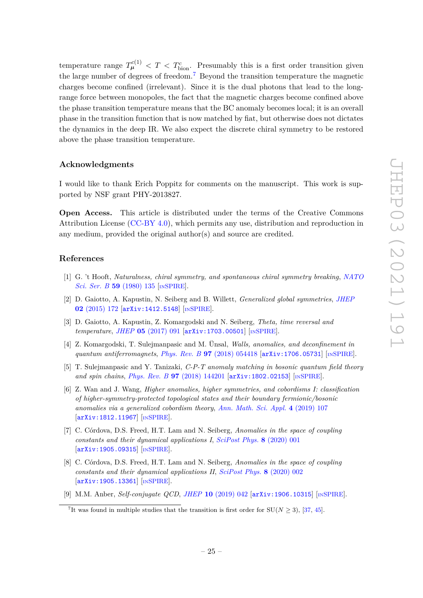temperature range  $T_{\mu}^{c(1)} < T < T_{\text{bion}}^c$ . Presumably this is a first order transition given the large number of degrees of freedom.<sup>[7](#page-26-5)</sup> Beyond the transition temperature the magnetic charges become confined (irrelevant). Since it is the dual photons that lead to the longrange force between monopoles, the fact that the magnetic charges become confined above the phase transition temperature means that the BC anomaly becomes local; it is an overall phase in the transition function that is now matched by fiat, but otherwise does not dictates the dynamics in the deep IR. We also expect the discrete chiral symmetry to be restored above the phase transition temperature.

#### **Acknowledgments**

I would like to thank Erich Poppitz for comments on the manuscript. This work is supported by NSF grant PHY-2013827.

**Open Access.** This article is distributed under the terms of the Creative Commons Attribution License [\(CC-BY 4.0\)](https://creativecommons.org/licenses/by/4.0/), which permits any use, distribution and reproduction in any medium, provided the original author(s) and source are credited.

#### **References**

- <span id="page-26-0"></span>[1] G. 't Hooft, *Naturalness, chiral symmetry, and spontaneous chiral symmetry breaking*, *[NATO](https://doi.org/10.1007/978-1-4684-7571-5_9) [Sci. Ser. B](https://doi.org/10.1007/978-1-4684-7571-5_9)* **59** (1980) 135 [IN[SPIRE](https://inspirehep.net/search?p=find+J%20%22NATO%20Sci.Ser.%2CB59%2C135%22)].
- <span id="page-26-1"></span>[2] D. Gaiotto, A. Kapustin, N. Seiberg and B. Willett, *Generalized global symmetries*, *[JHEP](https://doi.org/10.1007/JHEP02(2015)172)* **02** [\(2015\) 172](https://doi.org/10.1007/JHEP02(2015)172) [[arXiv:1412.5148](https://arxiv.org/abs/1412.5148)] [IN[SPIRE](https://inspirehep.net/search?p=find+EPRINT%2BarXiv%3A1412.5148)].
- <span id="page-26-2"></span>[3] D. Gaiotto, A. Kapustin, Z. Komargodski and N. Seiberg, *Theta, time reversal and temperature*, *JHEP* **05** [\(2017\) 091](https://doi.org/10.1007/JHEP05(2017)091) [[arXiv:1703.00501](https://arxiv.org/abs/1703.00501)] [IN[SPIRE](https://inspirehep.net/search?p=find+EPRINT%2BarXiv%3A1703.00501)].
- <span id="page-26-3"></span>[4] Z. Komargodski, T. Sulejmanpasic and M. Ünsal, *Walls, anomalies, and deconfinement in quantum antiferromagnets*, *Phys. Rev. B* **97** [\(2018\) 054418](https://doi.org/10.1103/PhysRevB.97.054418) [[arXiv:1706.05731](https://arxiv.org/abs/1706.05731)] [IN[SPIRE](https://inspirehep.net/search?p=find+EPRINT%2BarXiv%3A1706.05731)].
- [5] T. Sulejmanpasic and Y. Tanizaki, *C-P-T anomaly matching in bosonic quantum field theory and spin chains*, *Phys. Rev. B* **97** [\(2018\) 144201](https://doi.org/10.1103/PhysRevB.97.144201) [[arXiv:1802.02153](https://arxiv.org/abs/1802.02153)] [IN[SPIRE](https://inspirehep.net/search?p=find+EPRINT%2BarXiv%3A1802.02153)].
- [6] Z. Wan and J. Wang, *Higher anomalies, higher symmetries, and cobordisms I: classification of higher-symmetry-protected topological states and their boundary fermionic/bosonic anomalies via a generalized cobordism theory*, *[Ann. Math. Sci. Appl.](https://doi.org/10.4310/AMSA.2019.v4.n2.a2)* **4** (2019) 107 [[arXiv:1812.11967](https://arxiv.org/abs/1812.11967)] [IN[SPIRE](https://inspirehep.net/search?p=find+EPRINT%2BarXiv%3A1812.11967)].
- [7] C. Córdova, D.S. Freed, H.T. Lam and N. Seiberg, *Anomalies in the space of coupling constants and their dynamical applications I*, *[SciPost Phys.](https://doi.org/10.21468/SciPostPhys.8.1.001)* **8** (2020) 001 [[arXiv:1905.09315](https://arxiv.org/abs/1905.09315)] [IN[SPIRE](https://inspirehep.net/search?p=find+EPRINT%2BarXiv%3A1905.09315)].
- [8] C. Córdova, D.S. Freed, H.T. Lam and N. Seiberg, *Anomalies in the space of coupling constants and their dynamical applications II*, *[SciPost Phys.](https://doi.org/10.21468/SciPostPhys.8.1.002)* **8** (2020) 002 [[arXiv:1905.13361](https://arxiv.org/abs/1905.13361)] [IN[SPIRE](https://inspirehep.net/search?p=find+EPRINT%2BarXiv%3A1905.13361)].
- <span id="page-26-4"></span>[9] M.M. Anber, *Self-conjugate QCD*, *JHEP* **10** [\(2019\) 042](https://doi.org/10.1007/JHEP10(2019)042) [[arXiv:1906.10315](https://arxiv.org/abs/1906.10315)] [IN[SPIRE](https://inspirehep.net/search?p=find+EPRINT%2BarXiv%3A1906.10315)].

<span id="page-26-5"></span><sup>&</sup>lt;sup>7</sup>It was found in multiple studies that the transition is first order for  $SU(N \ge 3)$ , [\[37,](#page-28-7) [45\]](#page-28-16).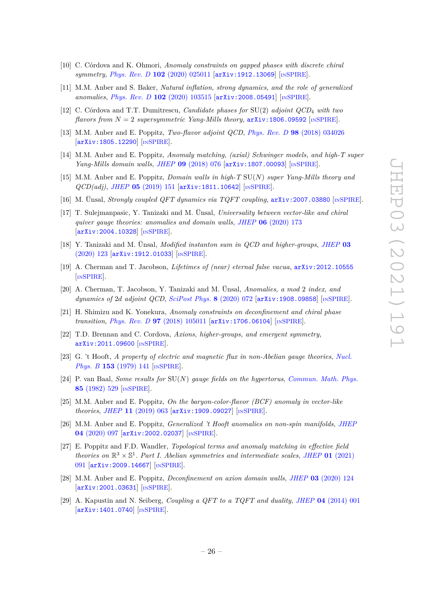- <span id="page-27-9"></span>[10] C. Córdova and K. Ohmori, *Anomaly constraints on gapped phases with discrete chiral symmetry*, *Phys. Rev. D* **102** [\(2020\) 025011](https://doi.org/10.1103/PhysRevD.102.025011) [[arXiv:1912.13069](https://arxiv.org/abs/1912.13069)] [IN[SPIRE](https://inspirehep.net/search?p=find+EPRINT%2BarXiv%3A1912.13069)].
- <span id="page-27-5"></span>[11] M.M. Anber and S. Baker, *Natural inflation, strong dynamics, and the role of generalized anomalies*, *Phys. Rev. D* **102** [\(2020\) 103515](https://doi.org/10.1103/PhysRevD.102.103515) [[arXiv:2008.05491](https://arxiv.org/abs/2008.05491)] [IN[SPIRE](https://inspirehep.net/search?p=find+EPRINT%2BarXiv%3A2008.05491)].
- [12] C. Córdova and T.T. Dumitrescu, *Candidate phases for* SU(2) *adjoint QCD*<sup>4</sup> *with two flavors from*  $N = 2$  *supersymmetric Yang-Mills theory*,  $\ar{xiv:1806.09592}$  [IN[SPIRE](https://inspirehep.net/search?p=find+EPRINT%2BarXiv%3A1806.09592)].
- [13] M.M. Anber and E. Poppitz, *Two-flavor adjoint QCD*, *Phys. Rev. D* **98** [\(2018\) 034026](https://doi.org/10.1103/PhysRevD.98.034026) [[arXiv:1805.12290](https://arxiv.org/abs/1805.12290)] [IN[SPIRE](https://inspirehep.net/search?p=find+EPRINT%2BarXiv%3A1805.12290)].
- [14] M.M. Anber and E. Poppitz, *Anomaly matching, (axial) Schwinger models, and high-T super Yang-Mills domain walls*, *JHEP* **09** [\(2018\) 076](https://doi.org/10.1007/JHEP09(2018)076) [[arXiv:1807.00093](https://arxiv.org/abs/1807.00093)] [IN[SPIRE](https://inspirehep.net/search?p=find+EPRINT%2BarXiv%3A1807.00093)].
- [15] M.M. Anber and E. Poppitz, *Domain walls in high-T* SU(*N*) *super Yang-Mills theory and QCD(adj)*, *JHEP* **05** [\(2019\) 151](https://doi.org/10.1007/JHEP05(2019)151) [[arXiv:1811.10642](https://arxiv.org/abs/1811.10642)] [IN[SPIRE](https://inspirehep.net/search?p=find+EPRINT%2BarXiv%3A1811.10642)].
- [16] M. Ünsal, *Strongly coupled QFT dynamics via TQFT coupling*, [arXiv:2007.03880](https://arxiv.org/abs/2007.03880) [IN[SPIRE](https://inspirehep.net/search?p=find+EPRINT%2BarXiv%3A2007.03880)].
- [17] T. Sulejmanpasic, Y. Tanizaki and M. Ünsal, *Universality between vector-like and chiral quiver gauge theories: anomalies and domain walls*, *JHEP* **06** [\(2020\) 173](https://doi.org/10.1007/JHEP06(2020)173) [[arXiv:2004.10328](https://arxiv.org/abs/2004.10328)] [IN[SPIRE](https://inspirehep.net/search?p=find+EPRINT%2BarXiv%3A2004.10328)].
- [18] Y. Tanizaki and M. Ünsal, *Modified instanton sum in QCD and higher-groups*, *[JHEP](https://doi.org/10.1007/JHEP03(2020)123)* **03** [\(2020\) 123](https://doi.org/10.1007/JHEP03(2020)123) [[arXiv:1912.01033](https://arxiv.org/abs/1912.01033)] [IN[SPIRE](https://inspirehep.net/search?p=find+EPRINT%2BarXiv%3A1912.01033)].
- [19] A. Cherman and T. Jacobson, *Lifetimes of (near) eternal false vacua*, [arXiv:2012.10555](https://arxiv.org/abs/2012.10555) [IN[SPIRE](https://inspirehep.net/search?p=find+EPRINT%2BarXiv%3A2012.10555)].
- [20] A. Cherman, T. Jacobson, Y. Tanizaki and M. Ünsal, *Anomalies, a mod* 2 *index, and dynamics of* 2*d adjoint QCD*, *[SciPost Phys.](https://doi.org/10.21468/SciPostPhys.8.5.072)* **8** (2020) 072 [[arXiv:1908.09858](https://arxiv.org/abs/1908.09858)] [IN[SPIRE](https://inspirehep.net/search?p=find+EPRINT%2BarXiv%3A1908.09858)].
- [21] H. Shimizu and K. Yonekura, *Anomaly constraints on deconfinement and chiral phase transition, Phys. Rev. D* 97 [\(2018\) 105011](https://doi.org/10.1103/PhysRevD.97.105011) [[arXiv:1706.06104](https://arxiv.org/abs/1706.06104)] [IN[SPIRE](https://inspirehep.net/search?p=find+EPRINT%2BarXiv%3A1706.06104)].
- <span id="page-27-0"></span>[22] T.D. Brennan and C. Cordova, *Axions, higher-groups, and emergent symmetry*, [arXiv:2011.09600](https://arxiv.org/abs/2011.09600) [IN[SPIRE](https://inspirehep.net/search?p=find+EPRINT%2BarXiv%3A2011.09600)].
- <span id="page-27-1"></span>[23] G. 't Hooft, *A property of electric and magnetic flux in non-Abelian gauge theories*, *[Nucl.](https://doi.org/10.1016/0550-3213(79)90595-9) Phys. B* **153** [\(1979\) 141](https://doi.org/10.1016/0550-3213(79)90595-9) [IN[SPIRE](https://inspirehep.net/search?p=find+J%20%22Nucl.Phys.%2CB153%2C141%22)].
- <span id="page-27-2"></span>[24] P. van Baal, *Some results for* SU(*N*) *gauge fields on the hypertorus*, *[Commun. Math. Phys.](https://doi.org/10.1007/BF01403503)* **85** [\(1982\) 529](https://doi.org/10.1007/BF01403503) [IN[SPIRE](https://inspirehep.net/search?p=find+J%20%22Commun.Math.Phys.%2C85%2C529%22)].
- <span id="page-27-3"></span>[25] M.M. Anber and E. Poppitz, *On the baryon-color-flavor (BCF) anomaly in vector-like theories*, *JHEP* **11** [\(2019\) 063](https://doi.org/10.1007/JHEP11(2019)063) [[arXiv:1909.09027](https://arxiv.org/abs/1909.09027)] [IN[SPIRE](https://inspirehep.net/search?p=find+EPRINT%2BarXiv%3A1909.09027)].
- <span id="page-27-4"></span>[26] M.M. Anber and E. Poppitz, *Generalized 't Hooft anomalies on non-spin manifolds*, *[JHEP](https://doi.org/10.1007/JHEP04(2020)097)* **04** [\(2020\) 097](https://doi.org/10.1007/JHEP04(2020)097) [[arXiv:2002.02037](https://arxiv.org/abs/2002.02037)] [IN[SPIRE](https://inspirehep.net/search?p=find+EPRINT%2BarXiv%3A2002.02037)].
- <span id="page-27-6"></span>[27] E. Poppitz and F.D. Wandler, *Topological terms and anomaly matching in effective field theories on*  $\mathbb{R}^3 \times \mathbb{S}^1$ *. Part I. Abelian symmetries and intermediate scales, JHEP* **01** [\(2021\)](https://doi.org/10.1007/JHEP01(2021)091) [091](https://doi.org/10.1007/JHEP01(2021)091) [[arXiv:2009.14667](https://arxiv.org/abs/2009.14667)] [IN[SPIRE](https://inspirehep.net/search?p=find+EPRINT%2BarXiv%3A2009.14667)].
- <span id="page-27-7"></span>[28] M.M. Anber and E. Poppitz, *Deconfinement on axion domain walls*, *JHEP* **03** [\(2020\) 124](https://doi.org/10.1007/JHEP03(2020)124) [[arXiv:2001.03631](https://arxiv.org/abs/2001.03631)] [IN[SPIRE](https://inspirehep.net/search?p=find+EPRINT%2BarXiv%3A2001.03631)].
- <span id="page-27-8"></span>[29] A. Kapustin and N. Seiberg, *Coupling a QFT to a TQFT and duality*, *JHEP* **04** [\(2014\) 001](https://doi.org/10.1007/JHEP04(2014)001) [[arXiv:1401.0740](https://arxiv.org/abs/1401.0740)] [IN[SPIRE](https://inspirehep.net/search?p=find+EPRINT%2BarXiv%3A1401.0740)].